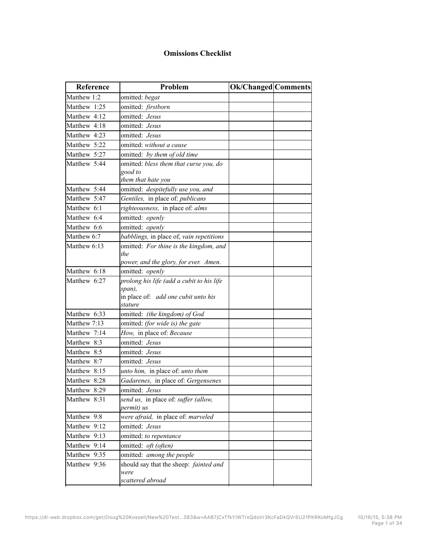## **Omissions Checklist**

| Reference    | Problem                                      | Ok/Changed Comments |
|--------------|----------------------------------------------|---------------------|
| Matthew 1:2  | omitted: begat                               |                     |
| Matthew 1:25 | omitted: firstborn                           |                     |
| Matthew 4:12 | omitted: Jesus                               |                     |
| Matthew 4:18 | omitted: Jesus                               |                     |
| Matthew 4:23 | omitted: Jesus                               |                     |
| Matthew 5:22 | omitted: without a cause                     |                     |
| Matthew 5:27 | omitted: by them of old time                 |                     |
| Matthew 5:44 | omitted. bless them that curse you, do       |                     |
|              | good to                                      |                     |
|              | them that hate you                           |                     |
| Matthew 5:44 | omitted: despitefully use you, and           |                     |
| Matthew 5:47 | Gentiles, in place of: publicans             |                     |
| Matthew 6:1  | righteousness, in place of: alms             |                     |
| Matthew 6:4  | omitted: openly                              |                     |
| Matthew 6:6  | omitted: openly                              |                     |
| Matthew 6:7  | babblings, in place of, vain repetitions     |                     |
| Matthew 6:13 | omitted: For thine is the kingdom, and       |                     |
|              | the<br>power, and the glory, for ever. Amen. |                     |
| Matthew 6:18 | omitted: openly                              |                     |
| Matthew 6:27 | prolong his life (add a cubit to his life    |                     |
|              | span),                                       |                     |
|              | in place of: add one cubit unto his          |                     |
|              | stature                                      |                     |
| Matthew 6:33 | omitted: (the kingdom) of God                |                     |
| Matthew 7:13 | omitted: (for wide is) the gate              |                     |
| Matthew 7:14 | How, in place of: Because                    |                     |
| Matthew 8:3  | omitted: Jesus                               |                     |
| Matthew 8:5  | omitted: Jesus                               |                     |
| Matthew 8:7  | omitted: Jesus                               |                     |
| Matthew 8:15 | unto him, in place of: unto them             |                     |
| Matthew 8:28 | Gadarenes, in place of: Gergensenes          |                     |
| Matthew 8:29 | omitted: Jesus                               |                     |
| Matthew 8:31 | send us, in place of: suffer (allow,         |                     |
|              | permit) us                                   |                     |
| Matthew 9:8  | were afraid, in place of: marveled           |                     |
| Matthew 9:12 | omitted: Jesus                               |                     |
| Matthew 9:13 | omitted: to repentance                       |                     |
| Matthew 9:14 | omitted: oft (often)                         |                     |
| Matthew 9:35 | omitted: among the people                    |                     |
| Matthew 9:36 | should say that the sheep: fainted and       |                     |
|              | were<br>scattered abroad                     |                     |
|              |                                              |                     |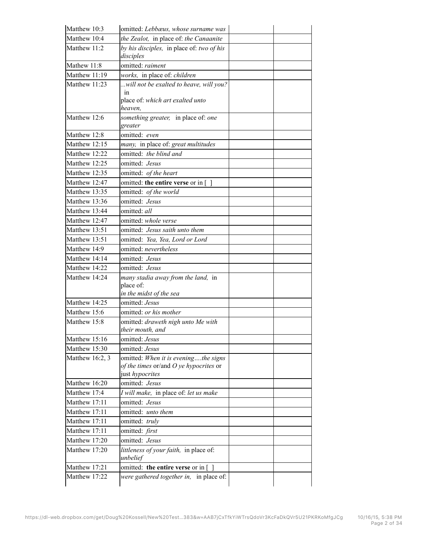| Matthew 10:3                  | omitted: Lebbæus, whose surname was                    |  |
|-------------------------------|--------------------------------------------------------|--|
| Matthew 10:4                  | the Zealot, in place of: the Canaanite                 |  |
| Matthew 11:2                  | by his disciples, in place of: two of his              |  |
|                               | disciples                                              |  |
| Mathew 11:8                   | omitted: raiment                                       |  |
| Matthew 11:19                 | works, in place of: children                           |  |
| Matthew 11:23                 | will not be exalted to heave, will you?                |  |
|                               | in<br>place of: which art exalted unto                 |  |
|                               | heaven.                                                |  |
| Matthew 12:6                  | something greater, in place of: one                    |  |
|                               | greater                                                |  |
| Matthew 12:8                  | omitted: even                                          |  |
| Matthew 12:15                 | many, in place of: great multitudes                    |  |
| Matthew 12:22                 | omitted: the blind and                                 |  |
| Matthew 12:25                 | omitted: Jesus                                         |  |
| Matthew 12:35                 | omitted: of the heart                                  |  |
| Matthew 12:47                 | omitted: the entire verse or in []                     |  |
| Matthew 13:35                 | omitted: of the world                                  |  |
| Matthew 13:36                 | omitted: Jesus                                         |  |
| Matthew 13:44                 | omitted: all                                           |  |
| Matthew 12:47                 | omitted: whole verse                                   |  |
| Matthew 13:51                 | omitted: Jesus saith unto them                         |  |
| Matthew 13:51                 | omitted: Yea, Yea, Lord or Lord                        |  |
| Matthew 14:9                  | omitted: nevertheless                                  |  |
| Matthew 14:14                 | omitted: Jesus                                         |  |
| Matthew 14:22                 | omitted: Jesus                                         |  |
| Matthew 14:24                 | many stadia away from the land, in                     |  |
|                               | place of:                                              |  |
|                               | in the midst of the sea<br>omitted: Jesus              |  |
| Matthew 14:25<br>Matthew 15:6 |                                                        |  |
| Matthew 15:8                  | omitted: or his mother                                 |  |
|                               | omitted: draweth nigh unto Me with<br>their mouth, and |  |
| Matthew 15:16                 | omitted: Jesus                                         |  |
| Matthew 15:30                 | omitted: Jesus                                         |  |
| Matthew 16:2, 3               | omitted: When it is eveningthe signs                   |  |
|                               | of the times or/and $O$ ye hypocrites or               |  |
|                               | just hypocrites                                        |  |
| Matthew 16:20                 | omitted: Jesus                                         |  |
| Matthew 17:4                  | I will make, in place of: let us make                  |  |
| Matthew 17:11                 | omitted: Jesus                                         |  |
| Matthew 17:11                 | omitted: unto them                                     |  |
| Matthew 17:11                 | omitted: truly                                         |  |
| Matthew 17:11                 | omitted: first                                         |  |
| Matthew 17:20                 | omitted: Jesus                                         |  |
| Matthew 17:20                 | littleness of your faith, in place of:                 |  |
|                               | unbelief                                               |  |
| Matthew 17:21                 | omitted: the entire verse or in []                     |  |
| Matthew 17:22                 | were gathered together in, in place of:                |  |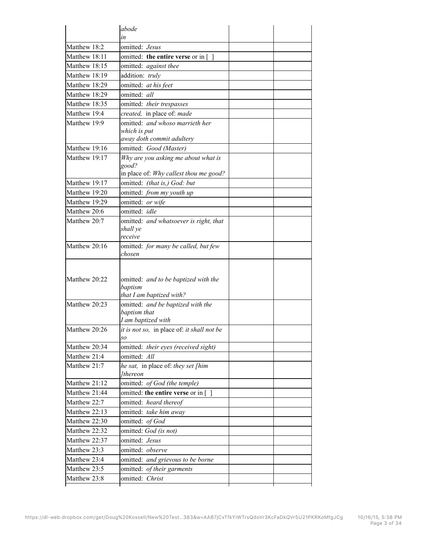|                              | abode                                             |  |
|------------------------------|---------------------------------------------------|--|
|                              | in                                                |  |
| Matthew 18:2                 | omitted: Jesus                                    |  |
| Matthew 18:11                | omitted: the entire verse or in $\lceil \ \rceil$ |  |
| Matthew 18:15                | omitted: against thee                             |  |
| Matthew 18:19                | addition: truly                                   |  |
| Matthew 18:29                | omitted: at his feet                              |  |
| Matthew 18:29                | omitted: all                                      |  |
| Matthew 18:35                | omitted: their trespasses                         |  |
| Matthew 19:4                 | created, in place of: made                        |  |
| Matthew 19:9                 | omitted: and whoso marrieth her                   |  |
|                              | which is put                                      |  |
|                              | away doth commit adultery                         |  |
| Matthew 19:16                | omitted: Good (Master)                            |  |
| Matthew 19:17                | Why are you asking me about what is               |  |
|                              | good?<br>in place of: Why callest thou me good?   |  |
| Matthew 19:17                | omitted: (that is,) God: but                      |  |
| Matthew 19:20                | omitted: from my youth up                         |  |
| Matthew 19:29                | omitted: or wife                                  |  |
| Matthew 20:6                 | omitted: idle                                     |  |
| Matthew 20:7                 | omitted: and whatsoever is right, that            |  |
|                              | shall ye                                          |  |
|                              | receive                                           |  |
| Matthew 20:16                | omitted: for many be called, but few              |  |
|                              | chosen                                            |  |
|                              |                                                   |  |
| Matthew 20:22                | omitted: and to be baptized with the              |  |
|                              | baptism                                           |  |
|                              | that I am baptized with?                          |  |
| Matthew 20:23                | omitted: and be baptized with the                 |  |
|                              | baptism that                                      |  |
|                              |                                                   |  |
|                              | I am baptized with                                |  |
| Matthew 20:26                | it is not so, in place of: it shall not be        |  |
|                              | so                                                |  |
| Matthew 20:34                | omitted: their eyes (received sight)              |  |
| Matthew 21:4                 | omitted: All                                      |  |
| Matthew 21:7                 | he sat, in place of: they set [him                |  |
|                              | Ithereon                                          |  |
| Matthew 21:12                | omitted: of God (the temple)                      |  |
| Matthew 21:44                | omitted: the entire verse or in []                |  |
| Matthew 22:7                 | omitted: heard thereof                            |  |
| Matthew 22:13                | omitted: take him away                            |  |
| Matthew 22:30                | omitted: of God                                   |  |
| Matthew 22:32                | omitted: God (is not)                             |  |
| Matthew 22:37                | omitted: Jesus                                    |  |
| Matthew 23:3                 | omitted: observe                                  |  |
| Matthew 23:4                 | omitted: and grievous to be borne                 |  |
| Matthew 23:5<br>Matthew 23:8 | omitted: of their garments<br>omitted: Christ     |  |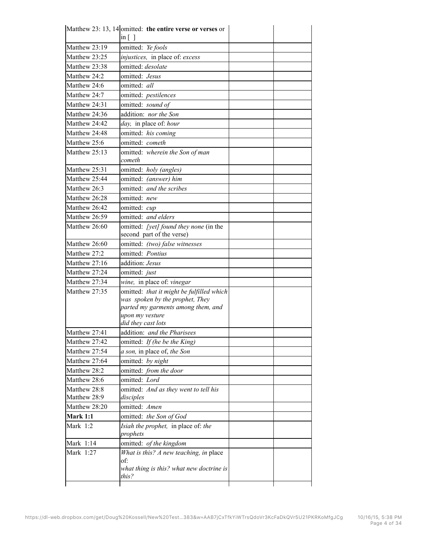|                              | Matthew 23: 13, 14 omitted: the entire verse or verses or<br>in $\lceil \ \rceil$ |  |
|------------------------------|-----------------------------------------------------------------------------------|--|
| Matthew 23:19                | omitted: Ye fools                                                                 |  |
| Matthew 23:25                | injustices, in place of: excess                                                   |  |
| Matthew 23:38                | omitted: desolate                                                                 |  |
| Matthew 24:2                 | omitted: Jesus                                                                    |  |
| Matthew 24:6                 | omitted: all                                                                      |  |
| Matthew 24:7                 | omitted: pestilences                                                              |  |
| Matthew 24:31                | omitted: sound of                                                                 |  |
| Matthew 24:36                | addition: nor the Son                                                             |  |
| Matthew 24:42                | day, in place of: hour                                                            |  |
| Matthew 24:48                | omitted: his coming                                                               |  |
| Matthew 25:6                 | omitted: cometh                                                                   |  |
| Matthew 25:13                | omitted: wherein the Son of man                                                   |  |
|                              | cometh                                                                            |  |
| Matthew 25:31                | omitted: holy (angles)                                                            |  |
| Matthew 25:44                | omitted: (answer) him                                                             |  |
| Matthew 26:3                 | omitted: and the scribes                                                          |  |
| Matthew 26:28                | omitted: new                                                                      |  |
| Matthew 26:42                | omitted: cup                                                                      |  |
| Matthew 26:59                | omitted: and elders                                                               |  |
| Matthew 26:60                | omitted: [yet] found they none (in the                                            |  |
|                              | second part of the verse)                                                         |  |
| Matthew 26:60                | omitted: (two) false witnesses                                                    |  |
| Matthew 27:2                 | omitted: Pontius                                                                  |  |
| Matthew 27:16                | addition: Jesus                                                                   |  |
| Matthew 27:24                | omitted: just                                                                     |  |
| Matthew 27:34                | wine, in place of: vinegar                                                        |  |
| Matthew 27:35                | omitted: that it might be fulfilled which                                         |  |
|                              | was spoken by the prophet, They                                                   |  |
|                              | parted my garments among them, and                                                |  |
|                              | upon my vesture<br>did they cast lots                                             |  |
| Matthew 27:41                | addition: and the Pharisees                                                       |  |
| Matthew 27:42                |                                                                                   |  |
|                              | omitted: If (he be the King)                                                      |  |
| Matthew 27:54                | a son, in place of, the Son                                                       |  |
| Matthew 27:64                | omitted: by night                                                                 |  |
| Matthew 28:2                 | omitted: from the door                                                            |  |
| Matthew 28:6                 | omitted: Lord                                                                     |  |
| Matthew 28:8<br>Matthew 28:9 | omitted: And as they went to tell his                                             |  |
| Matthew 28:20                | disciples<br>omitted: Amen                                                        |  |
| Mark 1:1                     |                                                                                   |  |
|                              | omitted: the Son of God                                                           |  |
| Mark 1:2                     | Isiah the prophet, in place of: the<br>prophets                                   |  |
| Mark 1:14                    | omitted: of the kingdom                                                           |  |
| Mark 1:27                    | What is this? A new teaching, in place                                            |  |
|                              | of:                                                                               |  |
|                              | what thing is this? what new doctrine is                                          |  |
|                              | this?                                                                             |  |
|                              |                                                                                   |  |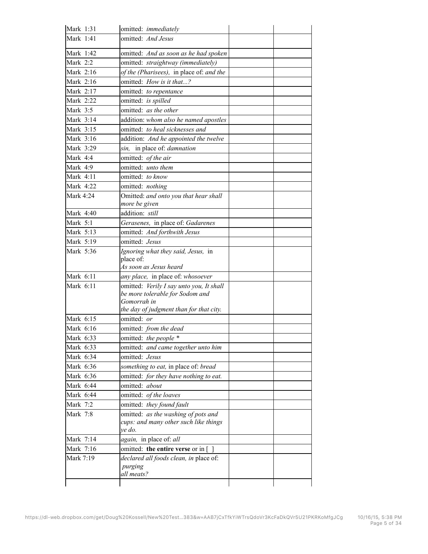| Mark 1:31   | omitted: immediately                              |  |
|-------------|---------------------------------------------------|--|
| Mark 1:41   | omitted: And Jesus                                |  |
| Mark 1:42   | omitted: And as soon as he had spoken             |  |
| Mark 2:2    | omitted: straightway (immediately)                |  |
| Mark 2:16   | of the (Pharisees), in place of: and the          |  |
| Mark 2:16   | omitted: How is it that?                          |  |
| Mark 2:17   | omitted: to repentance                            |  |
| Mark 2:22   | omitted: is spilled                               |  |
| Mark 3:5    | omitted: as the other                             |  |
| Mark 3:14   | addition: whom also he named apostles             |  |
| Mark 3:15   | omitted: to heal sicknesses and                   |  |
| Mark 3:16   | addition: And he appointed the twelve             |  |
| Mark 3:29   | sin, in place of <i>damnation</i>                 |  |
| Mark 4:4    | omitted: of the air                               |  |
| Mark 4:9    | omitted: <i>unto them</i>                         |  |
| Mark 4:11   | omitted: to know                                  |  |
| Mark 4:22   | omitted: nothing                                  |  |
| Mark 4:24   | Omitted: and onto you that hear shall             |  |
|             | more be given                                     |  |
| Mark 4:40   | addition: still                                   |  |
| Mark 5:1    | Gerasenes, in place of: Gadarenes                 |  |
| Mark 5:13   | omitted: And forthwith Jesus                      |  |
| Mark 5:19   | omitted: Jesus                                    |  |
| Mark 5:36   | Ignoring what they said, Jesus, in                |  |
|             | place of:                                         |  |
|             | As soon as Jesus heard                            |  |
| Mark 6:11   | any place, in place of: whosoever                 |  |
| Mark $6:11$ | omitted: Verily I say unto you, It shall          |  |
|             | be more tolerable for Sodom and<br>Gomorrah in    |  |
|             | the day of judgment than for that city.           |  |
| Mark 6:15   | omitted: or                                       |  |
| Mark 6:16   | omitted: from the dead                            |  |
| Mark 6:33   | omitted: the people *                             |  |
| Mark 6:33   | omitted: and came together unto him               |  |
| Mark 6:34   | omitted: Jesus                                    |  |
| Mark 6:36   | something to eat, in place of: bread              |  |
| Mark 6:36   | omitted: for they have nothing to eat.            |  |
| Mark 6:44   | omitted: about                                    |  |
| Mark 6:44   | omitted: of the loaves                            |  |
| Mark 7:2    | omitted: they found fault                         |  |
| Mark 7:8    | omitted: as the washing of pots and               |  |
|             | cups: and many other such like things<br>ve do.   |  |
| Mark 7:14   | <i>again</i> , in place of: all                   |  |
| Mark 7:16   | omitted: the entire verse or in $\lceil \ \rceil$ |  |
| Mark 7:19   | declared all foods clean, in place of:            |  |
|             | purging                                           |  |
|             | all meats?                                        |  |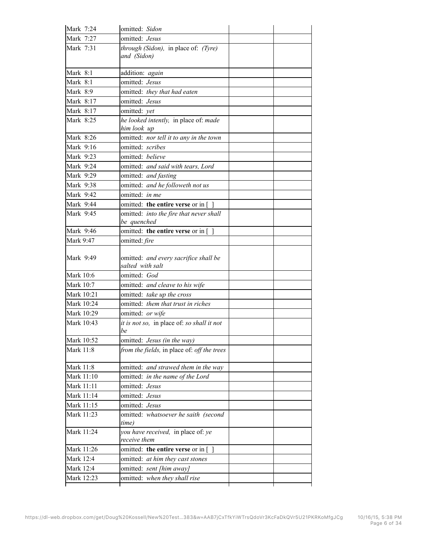| Mark 7:24                            | omitted: Sidon                                            |  |
|--------------------------------------|-----------------------------------------------------------|--|
| Mark 7:27                            | omitted: Jesus                                            |  |
| Mark 7:31                            | through (Sidon), in place of: (Tyre)<br>and (Sidon)       |  |
| Mark 8:1                             | addition: again                                           |  |
| Mark 8:1                             | omitted: Jesus                                            |  |
| Mark 8:9                             | omitted: they that had eaten                              |  |
| Mark 8:17                            | omitted: Jesus                                            |  |
| Mark 8:17                            | omitted: yet                                              |  |
| Mark 8:25                            | he looked intently, in place of: made<br>him look up      |  |
| Mark 8:26                            | omitted: nor tell it to any in the town                   |  |
| Mark 9:16                            | omitted: scribes                                          |  |
| Mark 9:23                            | omitted: believe                                          |  |
| Mark 9:24                            | omitted: and said with tears, Lord                        |  |
| Mark 9:29                            | omitted: and fasting                                      |  |
| Mark 9:38                            | omitted: and he followeth not us                          |  |
| Mark 9:42                            | omitted: in me                                            |  |
| Mark 9:44                            | omitted: the entire verse or in $\lceil \ \rceil$         |  |
| Mark 9:45                            | omitted: into the fire that never shall<br>be quenched    |  |
| Mark 9:46                            | omitted: the entire verse or in $\lceil \ \rceil$         |  |
| Mark 9:47                            | omitted: fire                                             |  |
| Mark 9:49                            | omitted: and every sacrifice shall be<br>salted with salt |  |
| Mark 10:6                            | omitted: God                                              |  |
| Mark 10:7                            | omitted: and cleave to his wife                           |  |
| Mark 10:21                           | omitted: take up the cross                                |  |
| Mark 10:24                           | omitted: them that trust in riches                        |  |
| Mark 10:29                           | omitted: or wife                                          |  |
| Mark 10:43                           | it is not so, in place of: so shall it not<br>be          |  |
| Mark 10:52                           | omitted: Jesus (in the way)                               |  |
| Mark 11:8                            | from the fields, in place of: off the trees               |  |
| Mark 11:8                            | omitted: and strawed them in the way                      |  |
| Mark 11:10                           | omitted: in the name of the Lord                          |  |
| Mark 11:11                           | omitted: Jesus                                            |  |
| Mark 11:14                           | omitted: Jesus                                            |  |
| Mark 11:15                           | omitted: Jesus                                            |  |
| Mark 11:23                           | omitted: whatsoever he saith (second                      |  |
|                                      | time)                                                     |  |
| Mark 11:24                           | you have received, in place of: ye<br>receive them        |  |
|                                      | omitted: the entire verse or in $\lceil \ \rceil$         |  |
|                                      | omitted: at him they cast stones                          |  |
| Mark 11:26<br>Mark 12:4<br>Mark 12:4 | omitted: sent [him away]                                  |  |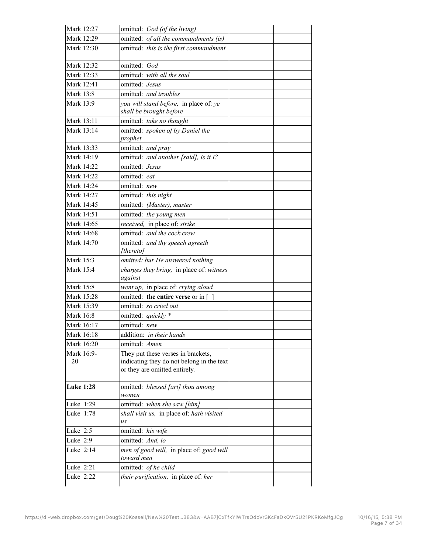| Mark 12:27       | omitted: God (of the living)                                      |  |
|------------------|-------------------------------------------------------------------|--|
| Mark 12:29       | omitted: of all the commandments (is)                             |  |
| Mark 12:30       | omitted: this is the first commandment                            |  |
| Mark 12:32       | omitted: God                                                      |  |
| Mark 12:33       | omitted: with all the soul                                        |  |
| Mark 12:41       | omitted: Jesus                                                    |  |
| Mark 13:8        | omitted: and troubles                                             |  |
| Mark 13:9        | you will stand before, in place of: ye<br>shall be brought before |  |
| Mark 13:11       | omitted: take no thought                                          |  |
| Mark 13:14       | omitted: spoken of by Daniel the<br>prophet                       |  |
| Mark 13:33       | omitted: and pray                                                 |  |
| Mark 14:19       | omitted: and another [said], Is it I?                             |  |
| Mark 14:22       | omitted: Jesus                                                    |  |
| Mark 14:22       | omitted: eat                                                      |  |
| Mark 14:24       | omitted: new                                                      |  |
| Mark 14:27       | omitted: this night                                               |  |
| Mark 14:45       | omitted: (Master), master                                         |  |
| Mark 14:51       | omitted: the young men                                            |  |
| Mark 14:65       | received, in place of: strike                                     |  |
| Mark 14:68       | omitted: and the cock crew                                        |  |
| Mark 14:70       | omitted: and thy speech agreeth                                   |  |
|                  | [thereto]                                                         |  |
| Mark 15:3        | omitted: bur He answered nothing                                  |  |
| Mark 15:4        | charges they bring, in place of: witness                          |  |
|                  | against                                                           |  |
| Mark 15:8        | went up, in place of: crying aloud                                |  |
| Mark 15:28       | omitted: the entire verse or in []                                |  |
| Mark 15:39       | omitted: so cried out                                             |  |
| Mark 16:8        | omitted: quickly *                                                |  |
| Mark 16:17       | omitted: new                                                      |  |
| Mark 16:18       | addition: in their hands                                          |  |
| Mark 16:20       | omitted: Amen                                                     |  |
| Mark 16:9-       | They put these verses in brackets,                                |  |
| 20               | indicating they do not belong in the text                         |  |
|                  | or they are omitted entirely.                                     |  |
| <b>Luke 1:28</b> | omitted: blessed [art] thou among                                 |  |
|                  | women                                                             |  |
| Luke 1:29        | omitted: when she saw [him]                                       |  |
| Luke 1:78        | shall visit us, in place of: hath visited                         |  |
|                  | us                                                                |  |
| Luke 2:5         | omitted: his wife                                                 |  |
| Luke 2:9         | omitted: And, lo                                                  |  |
| Luke 2:14        | men of good will, in place of: good will<br>toward men            |  |
| Luke 2:21        | omitted: of he child                                              |  |
| Luke 2:22        | their purification, in place of: her                              |  |
|                  |                                                                   |  |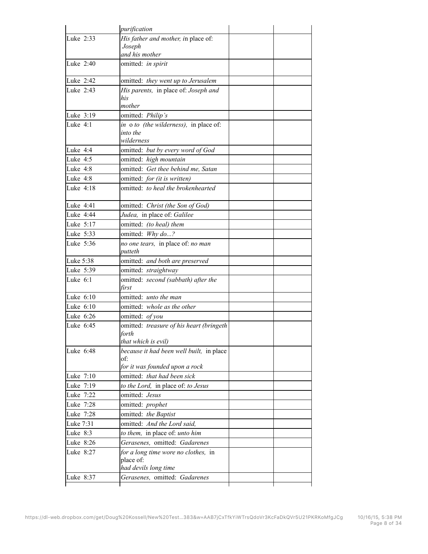|                                                                                                                               | purification                                                             |  |
|-------------------------------------------------------------------------------------------------------------------------------|--------------------------------------------------------------------------|--|
| Luke 2:33                                                                                                                     | His father and mother, in place of:<br>Joseph                            |  |
|                                                                                                                               | and his mother                                                           |  |
| Luke 2:40                                                                                                                     | omitted: in spirit                                                       |  |
| Luke 2:42                                                                                                                     | omitted: they went up to Jerusalem                                       |  |
| Luke 2:43                                                                                                                     | His parents, in place of: Joseph and                                     |  |
|                                                                                                                               | his                                                                      |  |
|                                                                                                                               | mother                                                                   |  |
| Luke 3:19                                                                                                                     | omitted: Philip's                                                        |  |
| Luke $4:1$                                                                                                                    | in o to (the wilderness), in place of:<br>into the<br>wilderness         |  |
| Luke 4:4                                                                                                                      | omitted: but by every word of God                                        |  |
| Luke $4:5$                                                                                                                    | omitted: high mountain                                                   |  |
| Luke 4:8                                                                                                                      | omitted: Get thee behind me, Satan                                       |  |
| Luke 4:8                                                                                                                      | omitted: for (it is written)                                             |  |
| Luke 4:18                                                                                                                     | omitted: to heal the brokenhearted                                       |  |
| Luke 4:41                                                                                                                     | omitted: Christ (the Son of God)                                         |  |
| Luke 4:44                                                                                                                     | Judea, in place of: Galilee                                              |  |
| Luke 5:17                                                                                                                     | omitted: (to heal) them                                                  |  |
| Luke 5:33                                                                                                                     | omitted: Why do?                                                         |  |
| Luke 5:36                                                                                                                     | no one tears, in place of: no man                                        |  |
|                                                                                                                               | putteth                                                                  |  |
| Luke 5:38                                                                                                                     | omitted: and both are preserved                                          |  |
| Luke 5:39                                                                                                                     | omitted: straightway                                                     |  |
| Luke $6:1$                                                                                                                    | omitted: second (sabbath) after the<br>first                             |  |
| Luke 6:10                                                                                                                     | omitted: unto the man                                                    |  |
| Luke 6:10                                                                                                                     | omitted: whole as the other                                              |  |
| Luke 6:26                                                                                                                     | omitted: of you                                                          |  |
| Luke 6:45                                                                                                                     | omitted: treasure of his heart (bringeth                                 |  |
|                                                                                                                               | forth                                                                    |  |
|                                                                                                                               | that which is evil)                                                      |  |
|                                                                                                                               | because it had been well built, in place<br>of:                          |  |
|                                                                                                                               | for it was founded upon a rock                                           |  |
|                                                                                                                               | omitted: that had been sick                                              |  |
|                                                                                                                               | to the Lord, in place of. to Jesus                                       |  |
|                                                                                                                               | omitted: Jesus                                                           |  |
|                                                                                                                               | omitted: prophet                                                         |  |
|                                                                                                                               | omitted: the Baptist                                                     |  |
|                                                                                                                               | omitted: And the Lord said,                                              |  |
|                                                                                                                               | to them, in place of: unto him                                           |  |
|                                                                                                                               | Gerasenes, omitted: Gadarenes                                            |  |
| Luke 6:48<br>Luke 7:10<br>Luke 7:19<br>Luke 7:22<br>Luke 7:28<br>Luke 7:28<br>Luke 7:31<br>Luke 8:3<br>Luke 8:26<br>Luke 8:27 | for a long time wore no clothes, in<br>place of:<br>had devils long time |  |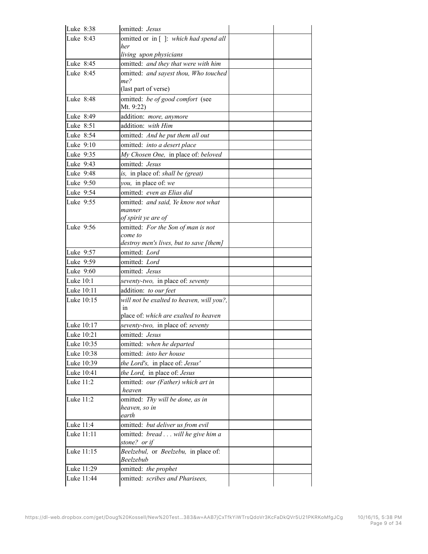| Luke 8:38  | omitted: Jesus                                    |  |
|------------|---------------------------------------------------|--|
| Luke 8:43  | omitted or in []: which had spend all             |  |
|            | her                                               |  |
|            | living upon physicians                            |  |
| Luke 8:45  | omitted: and they that were with him              |  |
| Luke 8:45  | omitted: and sayest thou, Who touched<br>me?      |  |
|            | (last part of verse)                              |  |
| Luke 8:48  | omitted: be of good comfort (see                  |  |
|            | Mt. 9:22)                                         |  |
| Luke 8:49  | addition: more, anymore                           |  |
| Luke 8:51  | addition: with Him                                |  |
| Luke 8:54  | omitted: And he put them all out                  |  |
| Luke 9:10  | omitted: into a desert place                      |  |
| Luke 9:35  | My Chosen One, in place of: beloved               |  |
| Luke 9:43  | omitted: Jesus                                    |  |
| Luke 9:48  | is, in place of: shall be (great)                 |  |
| Luke 9:50  | you, in place of: we                              |  |
| Luke 9:54  | omitted: even as Elias did                        |  |
| Luke 9:55  | omitted: and said, Ye know not what               |  |
|            | manner                                            |  |
|            | of spirit ye are of                               |  |
| Luke 9:56  | omitted: For the Son of man is not<br>come to     |  |
|            | destroy men's lives, but to save [them]           |  |
| Luke 9:57  | omitted: Lord                                     |  |
| Luke 9:59  | omitted: Lord                                     |  |
| Luke 9:60  | omitted: Jesus                                    |  |
| Luke 10:1  | seventy-two, in place of: seventy                 |  |
| Luke 10:11 | addition: to our feet                             |  |
| Luke 10:15 | will not be exalted to heaven, will you?,         |  |
|            | in                                                |  |
|            | place of: which are exalted to heaven             |  |
| Luke 10:17 | seventy-two, in place of: seventy                 |  |
| Luke 10:21 | omitted: Jesus                                    |  |
| Luke 10:35 | omitted: when he departed                         |  |
| Luke 10:38 | omitted: into her house                           |  |
| Luke 10:39 | the Lord's, in place of: Jesus'                   |  |
| Luke 10:41 | the Lord, in place of: Jesus                      |  |
| Luke 11:2  | omitted: our (Father) which art in                |  |
| Luke 11:2  | heaven                                            |  |
|            | omitted: Thy will be done, as in<br>heaven, so in |  |
|            | earth                                             |  |
| Luke 11:4  | omitted: but deliver us from evil                 |  |
| Luke 11:11 | omitted: bread will he give him a                 |  |
|            | stone? or if                                      |  |
| Luke 11:15 | Beelzebul, or Beelzebu, in place of:              |  |
|            | Beelzebub                                         |  |
| Luke 11:29 | omitted: the prophet                              |  |
| Luke 11:44 | omitted: scribes and Pharisees,                   |  |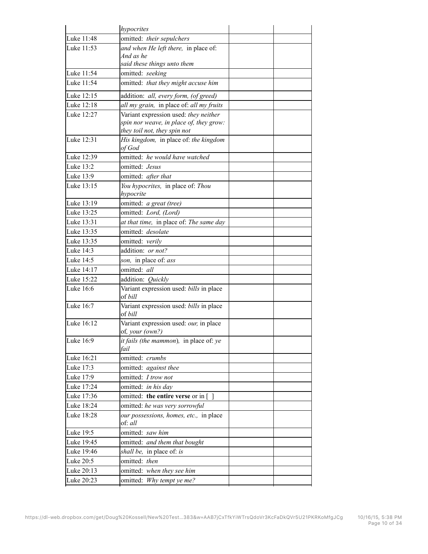|            | hypocrites                                                            |  |
|------------|-----------------------------------------------------------------------|--|
| Luke 11:48 | omitted: their sepulchers                                             |  |
| Luke 11:53 | and when He left there, in place of:                                  |  |
|            | And as he                                                             |  |
|            | said these things unto them                                           |  |
| Luke 11:54 | omitted: seeking                                                      |  |
| Luke 11:54 | omitted: that they might accuse him                                   |  |
| Luke 12:15 | addition: all, every form, (of greed)                                 |  |
| Luke 12:18 | all my grain, in place of: all my fruits                              |  |
| Luke 12:27 | Variant expression used: they neither                                 |  |
|            | spin nor weave, in place of, they grow:                               |  |
| Luke 12:31 | they toil not, they spin not<br>His kingdom, in place of: the kingdom |  |
|            | of God                                                                |  |
| Luke 12:39 | omitted: he would have watched                                        |  |
| Luke 13:2  | omitted: Jesus                                                        |  |
| Luke 13:9  | omitted: after that                                                   |  |
| Luke 13:15 | You hypocrites, in place of: Thou                                     |  |
|            | hypocrite                                                             |  |
| Luke 13:19 | omitted: a great (tree)                                               |  |
| Luke 13:25 | omitted: Lord, (Lord)                                                 |  |
| Luke 13:31 | at that time, in place of: The same day                               |  |
| Luke 13:35 | omitted: <i>desolate</i>                                              |  |
| Luke 13:35 | omitted: verily                                                       |  |
| Luke 14:3  | addition: <i>or not?</i>                                              |  |
| Luke 14:5  | son, in place of: ass                                                 |  |
| Luke 14:17 | omitted: all                                                          |  |
| Luke 15:22 | addition: Quickly                                                     |  |
| Luke 16:6  | Variant expression used: bills in place                               |  |
|            | of <i>bill</i>                                                        |  |
| Luke 16:7  | Variant expression used: bills in place<br>of bill                    |  |
| Luke 16:12 | Variant expression used: our, in place                                |  |
|            | of, your (own?)                                                       |  |
| Luke 16:9  | it fails (the mammon), in place of: ye                                |  |
|            | fail                                                                  |  |
| Luke 16:21 | omitted: crumbs                                                       |  |
| Luke 17:3  | omitted: against thee                                                 |  |
| Luke 17:9  | omitted: I trow not                                                   |  |
| Luke 17:24 | omitted: in his day                                                   |  |
| Luke 17:36 | omitted: the entire verse or in $\lceil \ \rceil$                     |  |
| Luke 18:24 | omitted: he was very sorrowful                                        |  |
| Luke 18:28 | our possessions, homes, etc., in place<br>of: all                     |  |
| Luke 19:5  | omitted: saw him                                                      |  |
| Luke 19:45 | omitted: and them that bought                                         |  |
| Luke 19:46 | shall be, in place of: is                                             |  |
| Luke 20:5  | omitted: then                                                         |  |
| Luke 20:13 | omitted: when they see him                                            |  |
| Luke 20:23 | omitted: Why tempt ye me?                                             |  |
|            |                                                                       |  |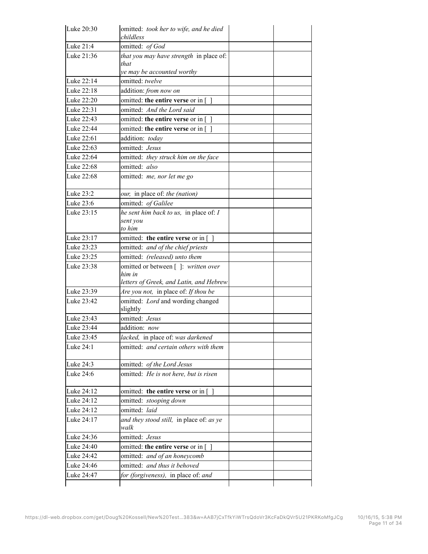| Luke 20:30 | omitted: took her to wife, and he died<br>childless                                      |  |
|------------|------------------------------------------------------------------------------------------|--|
| Luke 21:4  | omitted: of God                                                                          |  |
| Luke 21:36 | that you may have strength in place of:<br>that<br>ye may be accounted worthy            |  |
| Luke 22:14 | omitted: twelve                                                                          |  |
| Luke 22:18 | addition: from now on                                                                    |  |
| Luke 22:20 | omitted: the entire verse or in []                                                       |  |
| Luke 22:31 | omitted: And the Lord said                                                               |  |
| Luke 22:43 | omitted: the entire verse or in $\lceil \ \rceil$                                        |  |
| Luke 22:44 | omitted: the entire verse or in [                                                        |  |
| Luke 22:61 | addition: today                                                                          |  |
| Luke 22:63 | omitted: Jesus                                                                           |  |
| Luke 22:64 | omitted: they struck him on the face                                                     |  |
| Luke 22:68 | omitted: also                                                                            |  |
| Luke 22:68 | omitted: me, nor let me go                                                               |  |
| Luke 23:2  | our, in place of: the (nation)                                                           |  |
| Luke 23:6  | omitted: of Galilee                                                                      |  |
| Luke 23:15 | he sent him back to us, in place of: $I$<br>sent you<br>to him                           |  |
| Luke 23:17 | omitted: the entire verse or in []                                                       |  |
| Luke 23:23 | omitted: and of the chief priests                                                        |  |
| Luke 23:25 | omitted: (released) unto them                                                            |  |
| Luke 23:38 | omitted or between []: written over<br>him in<br>letters of Greek, and Latin, and Hebrew |  |
| Luke 23:39 | Are you not, in place of: If thou be                                                     |  |
| Luke 23:42 | omitted: Lord and wording changed<br>slightly                                            |  |
| Luke 23:43 | omitted: Jesus                                                                           |  |
| Luke 23:44 | addition: now                                                                            |  |
| Luke 23:45 | lacked, in place of: was darkened                                                        |  |
| Luke 24:1  | omitted: and certain others with them                                                    |  |
| Luke 24:3  | omitted: of the Lord Jesus                                                               |  |
| Luke 24:6  | omitted: He is not here, but is risen                                                    |  |
| Luke 24:12 | omitted: the entire verse or in []                                                       |  |
| Luke 24:12 | omitted: stooping down                                                                   |  |
| Luke 24:12 | omitted: laid                                                                            |  |
| Luke 24:17 | and they stood still, in place of: as ye<br>walk                                         |  |
| Luke 24:36 | omitted: Jesus                                                                           |  |
| Luke 24:40 | omitted: the entire verse or in $\lceil \ \rceil$                                        |  |
| Luke 24:42 | omitted: and of an honeycomb                                                             |  |
| Luke 24:46 | omitted: and thus it behoved                                                             |  |
| Luke 24:47 | for (forgiveness), in place of: and                                                      |  |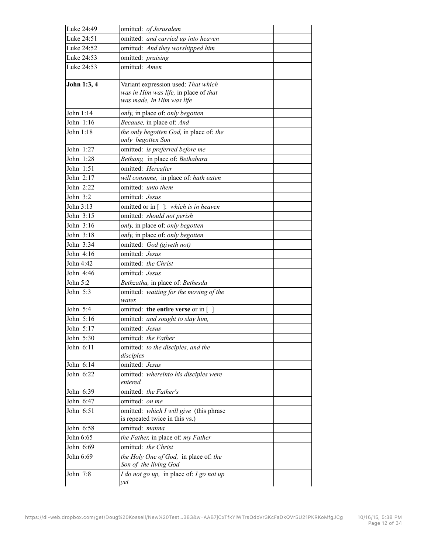| Luke 24:49  | omitted: of Jerusalem                                                                                     |  |
|-------------|-----------------------------------------------------------------------------------------------------------|--|
| Luke 24:51  | omitted: and carried up into heaven                                                                       |  |
| Luke 24:52  | omitted: And they worshipped him                                                                          |  |
| Luke 24:53  | omitted: praising                                                                                         |  |
| Luke 24:53  | omitted: Amen                                                                                             |  |
| John 1:3, 4 | Variant expression used: That which<br>was in Him was life, in place of that<br>was made, In Him was life |  |
| John 1:14   | only, in place of: only begotten                                                                          |  |
| John 1:16   | Because, in place of: And                                                                                 |  |
| John 1:18   | the only begotten God, in place of: the<br>only begotten Son                                              |  |
| John 1:27   | omitted: is preferred before me                                                                           |  |
| John 1:28   | Bethany, in place of: Bethabara                                                                           |  |
| John 1:51   | omitted: Hereafter                                                                                        |  |
| John $2:17$ | will consume, in place of: hath eaten                                                                     |  |
| John 2:22   | omitted: unto them                                                                                        |  |
| John 3:2    | omitted: Jesus                                                                                            |  |
| John 3:13   | omitted or in [ ]: which is in heaven                                                                     |  |
| John 3:15   | omitted: should not perish                                                                                |  |
| John 3:16   | only, in place of: only begotten                                                                          |  |
| John 3:18   | only, in place of: only begotten                                                                          |  |
| John 3:34   | omitted: God (giveth not)                                                                                 |  |
| John 4:16   | omitted: Jesus                                                                                            |  |
| John 4:42   | omitted: the Christ                                                                                       |  |
| John 4:46   | omitted: Jesus                                                                                            |  |
| John 5:2    | Bethzatha, in place of: Bethesda                                                                          |  |
| John 5:3    | omitted: waiting for the moving of the<br>water.                                                          |  |
| John 5:4    | omitted: the entire verse or in $\lceil \ \rceil$                                                         |  |
| John 5:16   | omitted: and sought to slay him,                                                                          |  |
| John 5:17   | omitted: Jesus                                                                                            |  |
| John 5:30   | omitted: the Father                                                                                       |  |
| John 6:11   | omitted: to the disciples, and the<br>disciples                                                           |  |
| John 6:14   | omitted: Jesus                                                                                            |  |
| John 6:22   | omitted: whereinto his disciples were<br>entered                                                          |  |
| John 6:39   | omitted: the Father's                                                                                     |  |
| John 6:47   | omitted: on me                                                                                            |  |
| John 6:51   | omitted: which I will give (this phrase<br>is repeated twice in this vs.)                                 |  |
| John 6:58   | omitted: manna                                                                                            |  |
| John 6:65   | the Father, in place of: my Father                                                                        |  |
| John 6:69   | omitted: the Christ                                                                                       |  |
| John 6:69   | the Holy One of God, in place of: the<br>Son of the living God                                            |  |
| John 7:8    | I do not go up, in place of: I go not up<br>yet                                                           |  |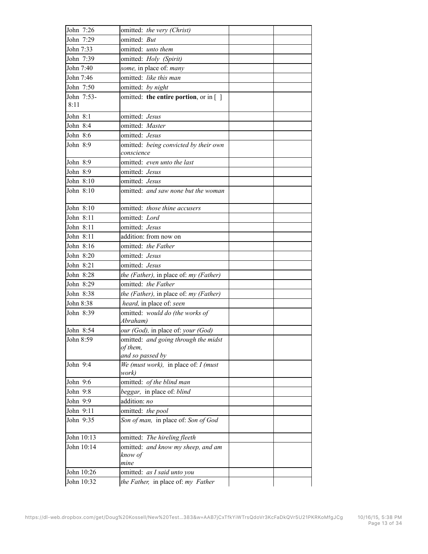| John 7:26  | omitted: the very (Christ)                           |  |
|------------|------------------------------------------------------|--|
| John 7:29  | omitted: But                                         |  |
| John 7:33  | omitted: unto them                                   |  |
| John 7:39  | omitted: Holy (Spirit)                               |  |
| John 7:40  | some, in place of: many                              |  |
| John 7:46  | omitted: like this man                               |  |
| John 7:50  | omitted. by night                                    |  |
| John 7:53- | omitted: the entire portion, or in $\lceil \ \rceil$ |  |
| 8:11       |                                                      |  |
| John 8:1   | omitted: Jesus                                       |  |
| John 8:4   | omitted: Master                                      |  |
| John 8:6   | omitted: Jesus                                       |  |
| John 8:9   | omitted: being convicted by their own                |  |
|            | conscience                                           |  |
| John 8:9   | omitted: even unto the last                          |  |
| John 8:9   | omitted: <i>Jesus</i>                                |  |
| John 8:10  | omitted: Jesus                                       |  |
| John 8:10  | omitted: and saw none but the woman                  |  |
|            |                                                      |  |
| John 8:10  | omitted: those thine accusers                        |  |
| John 8:11  | omitted: Lord                                        |  |
| John 8:11  | omitted: Jesus                                       |  |
| John 8:11  | addition: from now on                                |  |
| John 8:16  | omitted. the Father                                  |  |
| John 8:20  | omitted: Jesus                                       |  |
| John 8:21  | omitted: Jesus                                       |  |
| John 8:28  | the (Father), in place of: my (Father)               |  |
| John 8:29  | omitted. the Father                                  |  |
| John 8:38  | the (Father), in place of: my (Father)               |  |
| John 8:38  | heard, in place of: seen                             |  |
| John 8:39  | omitted: would do (the works of                      |  |
|            | Abraham)                                             |  |
| John 8:54  | our (God), in place of: your (God)                   |  |
| John 8:59  | omitted: and going through the midst                 |  |
|            | of them,                                             |  |
|            | and so passed by                                     |  |
| John 9:4   | We (must work), in place of: $I$ (must<br>work)      |  |
| John 9:6   | omitted: of the blind man                            |  |
| John 9:8   | beggar, in place of: blind                           |  |
| John 9:9   | addition: no                                         |  |
| John 9:11  | omitted: the pool                                    |  |
| John 9:35  | Son of man, in place of: Son of God                  |  |
|            |                                                      |  |
| John 10:13 | omitted: The hireling fleeth                         |  |
| John 10:14 | omitted: and know my sheep, and am                   |  |
|            | know of                                              |  |
|            | mine                                                 |  |
| John 10:26 | omitted: as I said unto you                          |  |
| John 10:32 | the Father, in place of: my Father                   |  |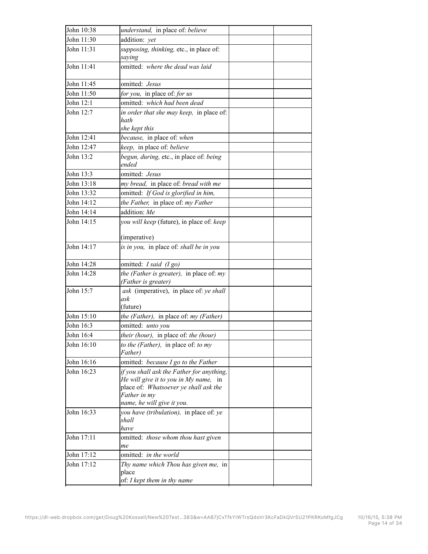| John 10:38 | understand, in place of. believe                                                                                                                                          |  |
|------------|---------------------------------------------------------------------------------------------------------------------------------------------------------------------------|--|
| John 11:30 | addition: yet                                                                                                                                                             |  |
| John 11:31 | supposing, thinking, etc., in place of:<br>saying                                                                                                                         |  |
| John 11:41 | omitted: where the dead was laid                                                                                                                                          |  |
| John 11:45 | omitted: <i>Jesus</i>                                                                                                                                                     |  |
| John 11:50 | for you, in place of for us                                                                                                                                               |  |
| John 12:1  | omitted: which had been dead                                                                                                                                              |  |
| John 12:7  | in order that she may keep, in place of:<br>hath                                                                                                                          |  |
| John 12:41 | she kept this<br>because, in place of: when                                                                                                                               |  |
| John 12:47 |                                                                                                                                                                           |  |
| John 13:2  | keep, in place of: believe<br>begun, during, etc., in place of: being                                                                                                     |  |
|            | ended                                                                                                                                                                     |  |
| John 13:3  | omitted: Jesus                                                                                                                                                            |  |
| John 13:18 | my bread, in place of: bread with me                                                                                                                                      |  |
| John 13:32 | omitted. If God is glorified in him,                                                                                                                                      |  |
| John 14:12 | the Father, in place of: my Father                                                                                                                                        |  |
| John 14:14 | addition: Me                                                                                                                                                              |  |
| John 14:15 | you will keep (future), in place of: keep                                                                                                                                 |  |
|            | (imperative)                                                                                                                                                              |  |
| John 14:17 | is in you, in place of: shall be in you                                                                                                                                   |  |
| John 14:28 | omitted: I said (I go)                                                                                                                                                    |  |
| John 14:28 | the (Father is greater), in place of: my<br>(Father is greater)                                                                                                           |  |
| John 15:7  | ask (imperative), in place of: ye shall<br>ask<br>(future)                                                                                                                |  |
| John 15:10 | the (Father), in place of: my (Father)                                                                                                                                    |  |
| John 16:3  | omitted: unto you                                                                                                                                                         |  |
| John 16:4  | their (hour), in place of: the (hour)                                                                                                                                     |  |
| John 16:10 | to the (Father), in place of: to my<br>Father)                                                                                                                            |  |
| John 16:16 | omitted: because I go to the Father                                                                                                                                       |  |
| John 16:23 | if you shall ask the Father for anything,<br>He will give it to you in My name, in<br>place of: Whatsoever ye shall ask the<br>Father in my<br>name, he will give it you. |  |
| John 16:33 | you have (tribulation), in place of: ye<br>shall<br>have                                                                                                                  |  |
| John 17:11 | omitted: those whom thou hast given<br>me                                                                                                                                 |  |
| John 17:12 | omitted: in the world                                                                                                                                                     |  |
| John 17:12 | Thy name which Thou has given me, in<br>place                                                                                                                             |  |
|            | of: I kept them in thy name                                                                                                                                               |  |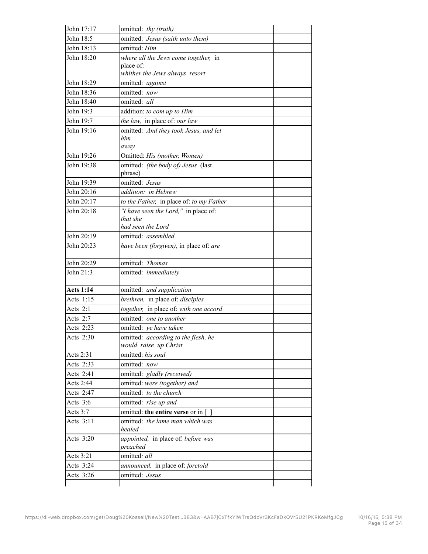| John 17:17       | omitted: thy (truth)                              |  |
|------------------|---------------------------------------------------|--|
| John 18:5        | omitted: Jesus (saith unto them)                  |  |
| John 18:13       | omitted: Him                                      |  |
| John 18:20       | where all the Jews come together, in              |  |
|                  | place of:                                         |  |
|                  | whither the Jews always resort                    |  |
| John 18:29       | omitted: against                                  |  |
| John 18:36       | omitted: now                                      |  |
| John 18:40       | omitted: all                                      |  |
| John 19:3        | addition: to com up to Him                        |  |
| John 19:7        | the law, in place of: our law                     |  |
| John 19:16       | omitted: And they took Jesus, and let<br>him      |  |
|                  | away                                              |  |
| John 19:26       | Omitted: His (mother, Women)                      |  |
| John 19:38       | omitted: (the body of) Jesus (last                |  |
|                  | phrase)                                           |  |
| John 19:39       | omitted: Jesus                                    |  |
| John 20:16       | addition: in Hebrew                               |  |
| John 20:17       | to the Father, in place of: to my Father          |  |
| John 20:18       | "I have seen the Lord," in place of:              |  |
|                  | that she                                          |  |
|                  | had seen the Lord                                 |  |
| John 20:19       | omitted: assembled                                |  |
| John 20:23       | have been (forgiven), in place of: are            |  |
|                  |                                                   |  |
| John 20:29       | omitted: Thomas                                   |  |
| John 21:3        | omitted: immediately                              |  |
| <b>Acts 1:14</b> | omitted: and supplication                         |  |
| Acts 1:15        | brethren, in place of: disciples                  |  |
| Acts $2:1$       | together, in place of: with one accord            |  |
| Acts $2:7$       | omitted: one to another                           |  |
| Acts 2:23        | omitted: ye have taken                            |  |
| Acts 2:30        | omitted: according to the flesh, he               |  |
|                  | would raise up Christ                             |  |
| Acts 2:31        | omitted: his soul                                 |  |
| Acts 2:33        | omitted: now                                      |  |
| Acts 2:41        | omitted: gladly (received)                        |  |
| Acts 2:44        | omitted: were (together) and                      |  |
| Acts 2:47        | omitted: to the church                            |  |
| Acts $3:6$       | omitted: rise up and                              |  |
| Acts $3:7$       | omitted: the entire verse or in $\lceil \ \rceil$ |  |
| Acts 3:11        | omitted: the lame man which was<br>healed         |  |
| Acts 3:20        | appointed, in place of: before was<br>preached    |  |
| Acts 3:21        | omitted: all                                      |  |
| Acts 3:24        | announced, in place of: foretold                  |  |
| Acts 3:26        | omitted: Jesus                                    |  |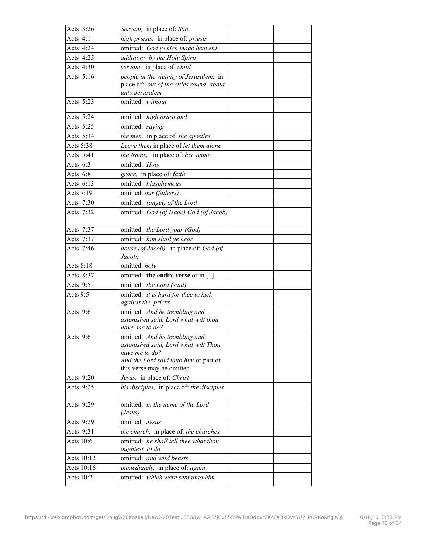| Acts 3:26  | Servant, in place of. Son                               |  |
|------------|---------------------------------------------------------|--|
| Acts $4:1$ | high priests, in place of: priests                      |  |
| Acts 4:24  | omitted: God (which made heaven)                        |  |
| Acts 4:25  | addition: by the Holy Spirit                            |  |
| Acts 4:30  | servant, in place of: child                             |  |
| Acts 5:16  | people in the vicinity of Jerusalem, in                 |  |
|            | place of: out of the cities round about                 |  |
|            | unto Jerusalem                                          |  |
| Acts 5:23  | omitted: without                                        |  |
| Acts 5:24  | omitted: high priest and                                |  |
| Acts 5:25  | omitted: saying                                         |  |
| Acts 5:34  | the men, in place of: the apostles                      |  |
| Acts 5:38  | Leave them in place of let them alone                   |  |
| Acts 5:41  | the Name, in place of: his name                         |  |
| Acts $6:3$ | omitted: Holy                                           |  |
| Acts 6:8   | grace, in place of: faith                               |  |
| Acts 6:13  | omitted: blasphemous                                    |  |
| Acts 7:19  | omitted: our (fathers)                                  |  |
| Acts 7:30  | omitted: (angel) of the Lord                            |  |
| Acts 7:32  | omitted: God (of Isaac) God (of Jacob)                  |  |
|            |                                                         |  |
| Acts 7:37  | omitted: the Lord your (God)                            |  |
| Acts 7:37  | omitted: him shall ye hear                              |  |
| Acts 7:46  | house (of Jacob), in place of: God (of<br>Jacob)        |  |
| Acts 8:18  | omitted: holy                                           |  |
| Acts 8:37  | omitted: the entire verse or in $\lceil \ \rceil$       |  |
| Acts 9:5   | omitted: the Lord (said)                                |  |
| Acts 9:5   | omitted: it is hard for thee to kick                    |  |
|            | against the pricks                                      |  |
| Acts 9:6   | omitted: And he trembling and                           |  |
|            | astonished said, Lord what wilt thou<br>have me to do?  |  |
| Acts 9:6   | omitted: And he trembling and                           |  |
|            | astonished said, Lord what wilt Thou                    |  |
|            | have me to do?                                          |  |
|            | And the Lord said unto him or part of                   |  |
|            | this verse may be omitted                               |  |
| Acts 9:20  | Jesus, in place of: Christ                              |  |
| Acts 9:25  | his disciples, in place of: the disciples               |  |
| Acts 9:29  | omitted: in the name of the Lord                        |  |
|            | (Jesus)                                                 |  |
| Acts 9:29  | omitted: Jesus                                          |  |
| Acts 9:31  | the church, in place of: the churches                   |  |
| Acts 10:6  | omitted: he shall tell thee what thou<br>oughtest to do |  |
| Acts 10:12 | omitted: and wild beasts                                |  |
| Acts 10:16 | immediately, in place of: again                         |  |
| Acts 10:21 | omitted: which were sent unto him                       |  |
|            |                                                         |  |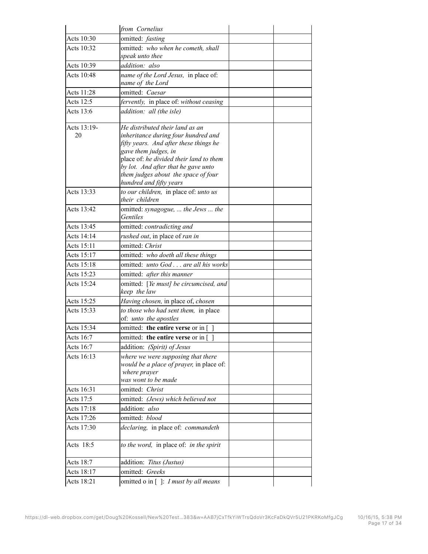|                          | from Cornelius                                                         |  |
|--------------------------|------------------------------------------------------------------------|--|
| Acts 10:30               | omitted: fasting                                                       |  |
| Acts 10:32               | omitted: who when he cometh, shall                                     |  |
|                          | speak unto thee                                                        |  |
| Acts 10:39               | addition: also                                                         |  |
| Acts 10:48               | name of the Lord Jesus, in place of.                                   |  |
|                          | name of the Lord                                                       |  |
| Acts 11:28               | omitted: Caesar                                                        |  |
| Acts 12:5                | fervently, in place of: without ceasing                                |  |
| Acts 13:6                | addition: all (the isle)                                               |  |
| Acts 13:19-              | He distributed their land as an                                        |  |
| 20                       | inheritance during four hundred and                                    |  |
|                          | fifty years. And after these things he                                 |  |
|                          | gave them judges, in<br>place of: he divided their land to them        |  |
|                          | by lot. And after that he gave unto                                    |  |
|                          | them judges about the space of four                                    |  |
|                          | hundred and fifty years                                                |  |
| Acts 13:33               | to our children, in place of: unto us                                  |  |
|                          | their children                                                         |  |
| Acts 13:42               | omitted: synagogue,  the Jews  the<br>Gentiles                         |  |
|                          |                                                                        |  |
| Acts 13:45<br>Acts 14:14 | omitted: contradicting and                                             |  |
|                          | rushed out, in place of ran in                                         |  |
| Acts 15:11               | omitted: Christ                                                        |  |
| Acts 15:17               | omitted: who doeth all these things                                    |  |
| Acts 15:18               | omitted: unto God are all his works                                    |  |
| Acts 15:23               | omitted: after this manner                                             |  |
| Acts 15:24               | omitted: [Ye must] be circumcised, and<br>keep the law                 |  |
| Acts 15:25               | Having chosen, in place of, chosen                                     |  |
| Acts 15:33               | to those who had sent them, in place<br>of: unto the apostles          |  |
| Acts 15:34               | omitted: the entire verse or in []                                     |  |
| Acts 16:7                | omitted: <b>the entire verse</b> or in $\begin{bmatrix} \end{bmatrix}$ |  |
| Acts 16:7                | addition: (Spirit) of Jesus                                            |  |
| Acts 16:13               | where we were supposing that there                                     |  |
|                          | would be a place of prayer, in place of.                               |  |
|                          | where prayer                                                           |  |
| Acts 16:31               | was wont to be made<br>omitted: Christ                                 |  |
|                          |                                                                        |  |
| Acts 17:5                | omitted: (Jews) which believed not                                     |  |
| Acts 17:18               | addition: also                                                         |  |
| Acts 17:26               | omitted: blood                                                         |  |
| Acts 17:30               | declaring, in place of: commandeth                                     |  |
| Acts 18:5                | to the word, in place of: in the spirit                                |  |
| Acts 18:7                | addition: Titus (Justus)                                               |  |
| Acts 18:17               | omitted: Greeks                                                        |  |
| Acts 18:21               | omitted o in [ ]: I must by all means                                  |  |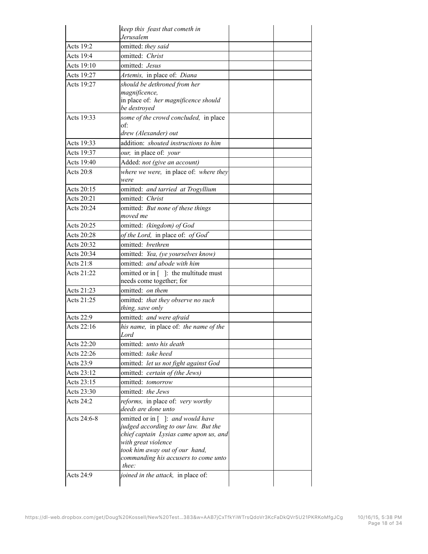|             | keep this feast that cometh in<br>Jerusalem                                                                                                                                                                                  |  |
|-------------|------------------------------------------------------------------------------------------------------------------------------------------------------------------------------------------------------------------------------|--|
|             |                                                                                                                                                                                                                              |  |
| Acts 19:2   | omitted: they said                                                                                                                                                                                                           |  |
| Acts 19:4   | omitted: Christ                                                                                                                                                                                                              |  |
| Acts 19:10  | omitted: Jesus                                                                                                                                                                                                               |  |
| Acts 19:27  | Artemis, in place of: Diana                                                                                                                                                                                                  |  |
| Acts 19:27  | should be dethroned from her<br>magnificence,<br>in place of: her magnificence should<br>be destroyed                                                                                                                        |  |
| Acts 19:33  | some of the crowd concluded, in place<br>of:<br>drew (Alexander) out                                                                                                                                                         |  |
| Acts 19:33  | addition: shouted instructions to him                                                                                                                                                                                        |  |
| Acts 19:37  | our, in place of: your                                                                                                                                                                                                       |  |
| Acts 19:40  | Added: not (give an account)                                                                                                                                                                                                 |  |
| Acts 20:8   | where we were, in place of: where they<br>were                                                                                                                                                                               |  |
| Acts 20:15  | omitted: and tarried at Trogyllium                                                                                                                                                                                           |  |
| Acts 20:21  | omitted: Christ                                                                                                                                                                                                              |  |
| Acts 20:24  | omitted: But none of these things<br>moved me                                                                                                                                                                                |  |
| Acts 20:25  | omitted: (kingdom) of God                                                                                                                                                                                                    |  |
| Acts 20:28  | of the Lord, in place of: of $God^*$                                                                                                                                                                                         |  |
| Acts 20:32  | omitted: brethren                                                                                                                                                                                                            |  |
| Acts 20:34  | omitted: Yea, (ye yourselves know)                                                                                                                                                                                           |  |
| Acts 21:8   | omitted: and abode with him                                                                                                                                                                                                  |  |
| Acts 21:22  | omitted or in $\lceil \ \rceil$ : the multitude must<br>needs come together; for                                                                                                                                             |  |
| Acts 21:23  | omitted: on them                                                                                                                                                                                                             |  |
| Acts 21:25  | omitted: that they observe no such<br>thing, save only                                                                                                                                                                       |  |
| Acts 22:9   | omitted: and were afraid                                                                                                                                                                                                     |  |
| Acts 22:16  | his name, in place of: the name of the<br>Lord                                                                                                                                                                               |  |
| Acts 22:20  | omitted: <i>unto his death</i>                                                                                                                                                                                               |  |
| Acts 22:26  | omitted: take heed                                                                                                                                                                                                           |  |
| Acts 23:9   | omitted. let us not fight against God                                                                                                                                                                                        |  |
| Acts 23:12  | omitted: certain of (the Jews)                                                                                                                                                                                               |  |
| Acts 23:15  | omitted: tomorrow                                                                                                                                                                                                            |  |
| Acts 23:30  | omitted: the Jews                                                                                                                                                                                                            |  |
| Acts 24:2   | reforms, in place of: very worthy                                                                                                                                                                                            |  |
|             | deeds are done unto                                                                                                                                                                                                          |  |
| Acts 24:6-8 | omitted or in []: and would have<br>judged according to our law. But the<br>chief captain Lysias came upon us, and<br>with great violence<br>took him away out of our hand,<br>commanding his accusers to come unto<br>thee: |  |
| Acts 24:9   | <i>joined in the attack</i> , in place of.                                                                                                                                                                                   |  |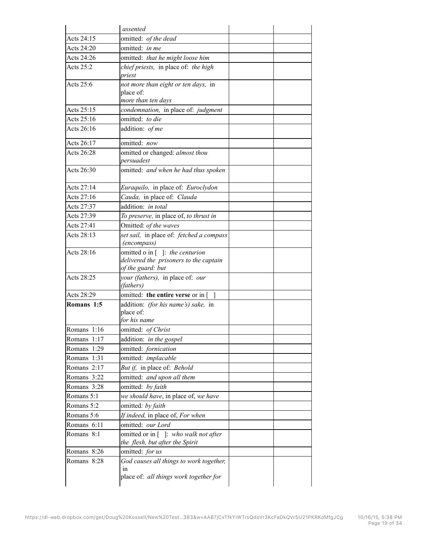|             | assented                                                                                      |  |
|-------------|-----------------------------------------------------------------------------------------------|--|
| Acts 24:15  | omitted: of the dead                                                                          |  |
| Acts 24:20  | omitted: in me                                                                                |  |
| Acts 24:26  | omitted: that he might loose him                                                              |  |
| Acts 25:2   | chief priests, in place of: the high<br>priest                                                |  |
| Acts $25:6$ | not more than eight or ten days, in                                                           |  |
|             | place of:<br>more than ten days                                                               |  |
| Acts 25:15  | condemnation, in place of: judgment                                                           |  |
| Acts 25:16  | omitted: to die                                                                               |  |
| Acts 26:16  | addition: of me                                                                               |  |
| Acts 26:17  | omitted: now                                                                                  |  |
| Acts 26:28  | omitted or changed: almost thou<br>persuadest                                                 |  |
| Acts 26:30  | omitted: and when he had thus spoken                                                          |  |
| Acts 27:14  | Euraquilo, in place of: Euroclydon                                                            |  |
| Acts 27:16  | Cauda, in place of: Clauda                                                                    |  |
| Acts 27:37  | addition: in total                                                                            |  |
| Acts 27:39  | To preserve, in place of, to thrust in                                                        |  |
| Acts 27:41  | Omitted: of the waves                                                                         |  |
| Acts 28:13  | set sail, in place of: fetched a compass<br><i>(encompass)</i>                                |  |
| Acts 28:16  | omitted o in []: the centurion<br>delivered the prisoners to the captain<br>of the guard: but |  |
| Acts 28:25  | your (fathers), in place of: our<br>(fathers)                                                 |  |
| Acts 28:29  | omitted: the entire verse or in [                                                             |  |
| Romans 1:5  | addition: (for his name's) sake, in<br>place of:<br>for his name                              |  |
| Romans 1:16 | omitted: of Christ                                                                            |  |
| Romans 1:17 | addition: in the gospel                                                                       |  |
| Romans 1:29 | omitted: fornication                                                                          |  |
| Romans 1:31 | omitted: implacable                                                                           |  |
| Romans 2:17 | But if, in place of: Behold                                                                   |  |
| Romans 3:22 | omitted: and upon all them                                                                    |  |
| Romans 3:28 | omitted: by faith                                                                             |  |
| Romans 5:1  | we should have, in place of, we have                                                          |  |
| Romans 5:2  | omitted: by faith                                                                             |  |
| Romans 5:6  | If indeed, in place of, For when                                                              |  |
| Romans 6:11 | omitted: our Lord                                                                             |  |
| Romans 8:1  | omitted or in []: who walk not after<br>the flesh, but after the Spirit                       |  |
| Romans 8:26 | omitted: for us                                                                               |  |
| Romans 8:28 | God causes all things to work together,<br>1n                                                 |  |
|             | place of: all things work together for                                                        |  |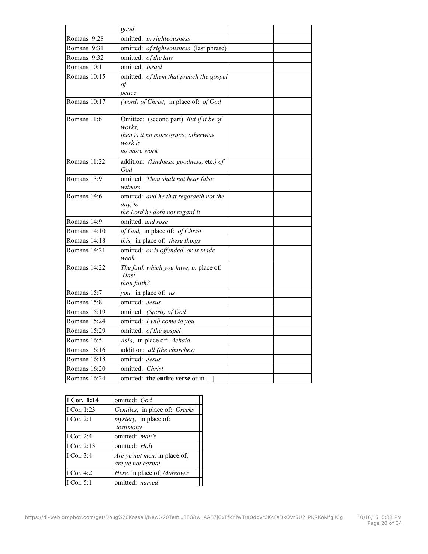|                | good                                                                                                               |  |
|----------------|--------------------------------------------------------------------------------------------------------------------|--|
| Romans 9:28    | omitted: in righteousness                                                                                          |  |
| Romans 9:31    | omitted: of righteousness (last phrase)                                                                            |  |
| Romans 9:32    | omitted: of the law                                                                                                |  |
| Romans 10:1    | omitted: Israel                                                                                                    |  |
| Romans 10:15   | omitted: of them that preach the gospel<br>of<br>peace                                                             |  |
| Romans $10:17$ | (word) of Christ, in place of: of God                                                                              |  |
| Romans 11:6    | Omitted: (second part) But if it be of<br>works.<br>then is it no more grace: otherwise<br>work is<br>no more work |  |
| Romans 11:22   | addition: (kindness, goodness, etc.) of<br>God                                                                     |  |
| Romans 13:9    | omitted: Thou shalt not bear false<br>witness                                                                      |  |
| Romans 14:6    | omitted: and he that regardeth not the<br>day, to<br>the Lord he doth not regard it                                |  |
| Romans 14:9    | omitted: and rose                                                                                                  |  |
| Romans 14:10   | of God, in place of: of Christ                                                                                     |  |
| Romans 14:18   | this, in place of: these things                                                                                    |  |
| Romans 14:21   | omitted: or is offended, or is made<br>weak                                                                        |  |
| Romans 14:22   | The faith which you have, in place of:<br>Hast<br>thou faith?                                                      |  |
| Romans 15:7    | you, in place of: us                                                                                               |  |
| Romans 15:8    | omitted: Jesus                                                                                                     |  |
| Romans 15:19   | omitted: (Spirit) of God                                                                                           |  |
| Romans 15:24   | omitted: I will come to you                                                                                        |  |
| Romans 15:29   | omitted: of the gospel                                                                                             |  |
| Romans 16:5    | Asia, in place of: Achaia                                                                                          |  |
| Romans 16:16   | addition: all (the churches)                                                                                       |  |
| Romans 16:18   | omitted: Jesus                                                                                                     |  |
| Romans 16:20   | omitted: Christ                                                                                                    |  |
| Romans 16:24   | omitted: <b>the entire verse</b> or in $\lceil \cdot \rceil$                                                       |  |

| I Cor. 1:14  | omitted: God                                      |  |
|--------------|---------------------------------------------------|--|
| I Cor. 1:23  | Gentiles, in place of: Greeks                     |  |
| I Cor. $2:1$ | <i>mystery</i> , in place of:<br>testimony        |  |
| I Cor. 2:4   | omitted: man's                                    |  |
| I Cor. 2:13  | omitted: Holy                                     |  |
| I Cor. 3:4   | Are ye not men, in place of,<br>are ye not carnal |  |
| I Cor. 4:2   | Here, in place of, Moreover                       |  |
| I Cor. 5:1   | omitted: named                                    |  |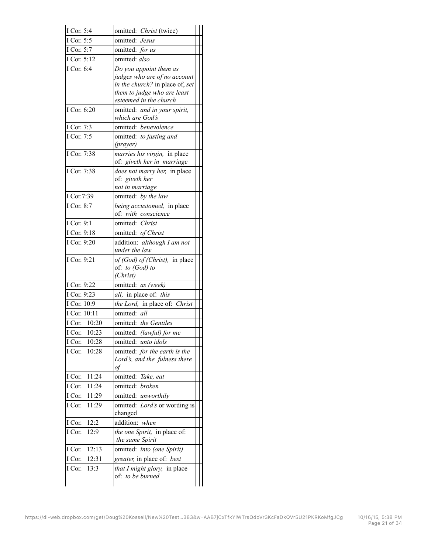| I Cor. 5:4      | omitted: Christ (twice)                                        |  |
|-----------------|----------------------------------------------------------------|--|
| I Cor. 5:5      | omitted: Jesus                                                 |  |
| I Cor. 5:7      | omitted: for us                                                |  |
| I Cor. 5:12     | omitted: also                                                  |  |
| I Cor. 6:4      | Do you appoint them as                                         |  |
|                 | judges who are of no account                                   |  |
|                 | in the church? in place of, set<br>them to judge who are least |  |
|                 | esteemed in the church                                         |  |
| I Cor. 6:20     | omitted: and in your spirit,                                   |  |
|                 | which are God's                                                |  |
| I Cor. 7:3      | omitted: benevolence                                           |  |
| I Cor. 7:5      | omitted: to fasting and                                        |  |
|                 | (prayer)                                                       |  |
| I Cor. 7:38     | <i>marries his virgin</i> , in place                           |  |
|                 | of: giveth her in marriage                                     |  |
| I Cor. 7:38     | does not marry her, in place<br>of: giveth her                 |  |
|                 | not in marriage                                                |  |
| I Cor.7:39      | omitted: by the law                                            |  |
| I Cor. 8:7      | being accustomed, in place                                     |  |
|                 | of. with conscience                                            |  |
| I Cor. 9:1      | omitted: Christ                                                |  |
| I Cor. 9:18     | omitted: of Christ                                             |  |
| I Cor. 9:20     | addition: although I am not                                    |  |
|                 | under the law                                                  |  |
| I Cor. 9:21     | of (God) of (Christ), in place                                 |  |
|                 |                                                                |  |
|                 | of: to (God) to                                                |  |
|                 | (Christ)                                                       |  |
| I Cor. 9:22     | omitted: as (week)                                             |  |
| I Cor. 9:23     | all, in place of: this                                         |  |
| I Cor. 10:9     | the Lord, in place of: Christ                                  |  |
| I Cor. 10:11    | omitted: all                                                   |  |
| I Cor. 10:20    | omitted: the Gentiles                                          |  |
| I Cor. 10:23    | omitted: (lawful) for me                                       |  |
| 10:28<br>I Cor. | omitted: unto idols                                            |  |
| 10:28<br>I Cor. | omitted: for the earth is the                                  |  |
|                 | Lord's, and the fulness there<br>of                            |  |
| 11:24<br>I Cor. | omitted: Take, eat                                             |  |
| I Cor.<br>11:24 | omitted: <i>broken</i>                                         |  |
| I Cor.<br>11:29 | omitted: unworthily                                            |  |
| 11:29<br>I Cor. | omitted: Lord's or wording is                                  |  |
|                 | changed                                                        |  |
| 12:2<br>I Cor.  | addition: when                                                 |  |
| 12:9<br>I Cor.  | the one Spirit, in place of.                                   |  |
|                 | the same Spirit                                                |  |
| 12:13<br>I Cor. | omitted:<br><i>into (one Spirit)</i>                           |  |
| I Cor.<br>12:31 | greater, in place of: best                                     |  |
| 13:3<br>I Cor.  | that I might glory, in place<br>of: to be burned               |  |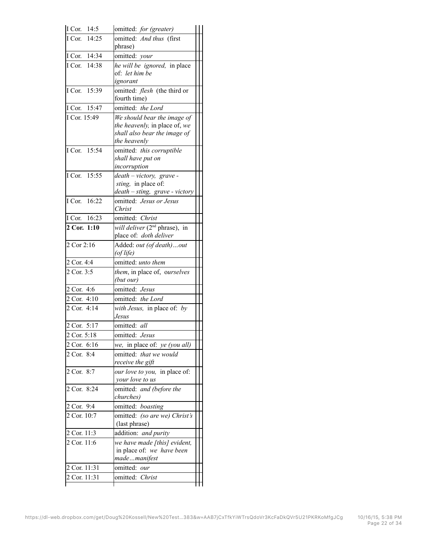| I Cor. 14:5   | omitted: for (greater)                                              |  |
|---------------|---------------------------------------------------------------------|--|
| I Cor. 14:25  | omitted: And thus (first                                            |  |
|               | phrase)                                                             |  |
| I Cor. 14:34  | omitted: your                                                       |  |
| I Cor. 14:38  | he will be ignored, in place                                        |  |
|               | of: let him be                                                      |  |
|               | ignorant                                                            |  |
| I Cor. 15:39  | omitted: flesh (the third or<br>fourth time)                        |  |
| I Cor. 15:47  | omitted: the Lord                                                   |  |
| I Cor. 15:49  | We should bear the image of                                         |  |
|               | the heavenly, in place of, we                                       |  |
|               | shall also bear the image of                                        |  |
|               | the heavenly                                                        |  |
| I Cor. 15:54  | omitted: this corruptible                                           |  |
|               | shall have put on                                                   |  |
|               | incorruption                                                        |  |
| I Cor. 15:55  | death - victory, grave -                                            |  |
|               | sting, in place of:                                                 |  |
|               | death - sting, grave - victory                                      |  |
| I Cor. 16:22  | omitted: Jesus or Jesus<br>Christ                                   |  |
|               |                                                                     |  |
| I Cor. 16:23  | omitted: Christ                                                     |  |
| 2 Cor. 1:10   | <i>will deliver</i> $(2^{nd}$ phrase), in<br>place of: doth deliver |  |
|               |                                                                     |  |
| 2 Cor 2:16    | Added: out (of death) out<br>(of life)                              |  |
| 2 Cor. 4:4    | omitted: unto them                                                  |  |
| 2 Cor. 3:5    | them, in place of, ourselves                                        |  |
|               | (but our)                                                           |  |
| 2 Cor. 4:6    | omitted: Jesus                                                      |  |
| 2 Cor. 4:10   | omitted: the Lord                                                   |  |
| 2 Cor. 4:14   | with Jesus, in place of: by                                         |  |
|               | Jesus                                                               |  |
| 2 Cor. 5:17   | omitted: all                                                        |  |
| 2 Cor. 5:18   | omitted: Jesus                                                      |  |
| 2 Cor. 6:16   | we, in place of: ye (you all)                                       |  |
| 2 Cor. 8:4    | omitted: that we would                                              |  |
|               | receive the gift                                                    |  |
| 2 Cor. 8:7    | our love to you, in place of:                                       |  |
|               | your love to us                                                     |  |
| 2 Cor. 8:24   | omitted: and (before the                                            |  |
|               | churches)                                                           |  |
| 2 Cor. 9:4    | omitted: boasting                                                   |  |
| 2 Cor. 10:7   | omitted: (so are we) Christ's<br>(last phrase)                      |  |
| 2 Cor. 11:3   | addition: and purity                                                |  |
| 2 Cor. $11:6$ | we have made [this] evident,                                        |  |
|               | in place of: we have been                                           |  |
|               | mademanifest                                                        |  |
| 2 Cor. 11:31  | omitted: our                                                        |  |
| 2 Cor. 11:31  | omitted: Christ                                                     |  |
|               |                                                                     |  |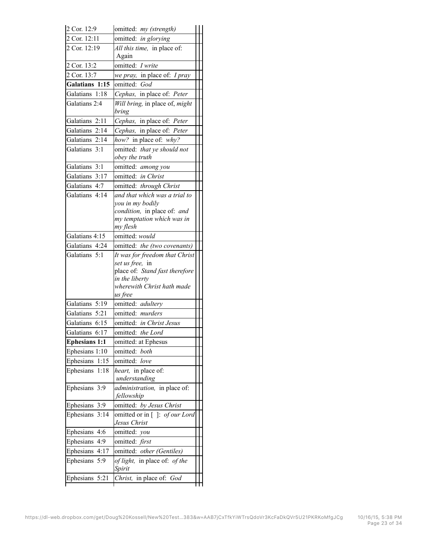| 2 Cor. 12:9          | omitted: my (strength)                                                                                                                         |
|----------------------|------------------------------------------------------------------------------------------------------------------------------------------------|
| 2 Cor. 12:11         | omitted: in glorying                                                                                                                           |
| 2 Cor. 12:19         | All this time, in place of:<br>Again                                                                                                           |
| 2 Cor. 13:2          | omitted: I write                                                                                                                               |
| 2 Cor. 13:7          | we pray, in place of: I pray                                                                                                                   |
| Galatians 1:15       | omitted: God                                                                                                                                   |
| Galatians 1:18       | Cephas, in place of: Peter                                                                                                                     |
| Galatians 2:4        | Will bring, in place of, might<br>bring                                                                                                        |
| Galatians 2:11       | Cephas, in place of: Peter                                                                                                                     |
| Galatians 2:14       | Cephas, in place of: Peter                                                                                                                     |
| Galatians 2:14       | how? in place of: why?                                                                                                                         |
| Galatians 3:1        | omitted: that ye should not<br>obey the truth                                                                                                  |
| Galatians 3:1        | omitted: among you                                                                                                                             |
| Galatians 3:17       | omitted: in Christ                                                                                                                             |
| Galatians 4:7        | omitted: through Christ                                                                                                                        |
| Galatians 4:14       | and that which was a trial to<br>you in my bodily<br>condition, in place of: and<br>my temptation which was in<br>my flesh                     |
| Galatians 4:15       | omitted: would                                                                                                                                 |
| Galatians 4:24       | omitted: the (two covenants)                                                                                                                   |
|                      | It was for freedom that Christ<br>set us free, in<br>place of: Stand fast therefore<br>in the liberty<br>wherewith Christ hath made<br>us free |
| Galatians 5:19       | omitted: adultery                                                                                                                              |
| Galatians 5:21       | omitted: murders                                                                                                                               |
| Galatians 6:15       | omitted: in Christ Jesus                                                                                                                       |
| Galatians 6:17       | omitted: the Lord                                                                                                                              |
| <b>Ephesians 1:1</b> | omitted: at Ephesus                                                                                                                            |
| Ephesians 1:10       | omitted: both                                                                                                                                  |
| Ephesians 1:15       | omitted: love                                                                                                                                  |
| Ephesians<br>1:18    | heart, in place of:<br>understanding                                                                                                           |
| Ephesians 3:9        | <i>administration</i> , in place of.<br>fellowship                                                                                             |
| Ephesians 3:9        | omitted: by Jesus Christ                                                                                                                       |
|                      | omitted or in []: of our Lord                                                                                                                  |
| Ephesians 3:14       | Jesus Christ                                                                                                                                   |
| Ephesians 4:6        | omitted: you                                                                                                                                   |
| Ephesians 4:9        | omitted: first                                                                                                                                 |
| Ephesians 4:17       | omitted: other (Gentiles)                                                                                                                      |
| Ephesians 5:9        | of light, in place of: of the<br>Spirit                                                                                                        |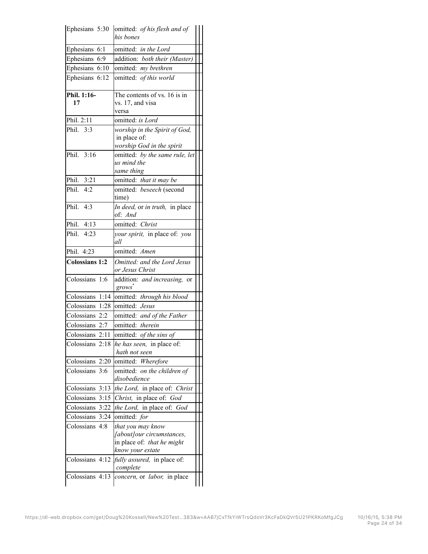| Ephesians 5:30        | omitted: of his flesh and of<br>his bones          |  |
|-----------------------|----------------------------------------------------|--|
| Ephesians 6:1         | omitted: in the Lord                               |  |
| Ephesians 6:9         | addition: both their (Master)                      |  |
| Ephesians 6:10        | omitted: my brethren                               |  |
| Ephesians 6:12        | omitted: of this world                             |  |
| Phil. 1:16-           | The contents of vs. 16 is in                       |  |
| 17                    | vs. 17, and visa<br>versa                          |  |
| Phil. 2:11            | omitted: is Lord                                   |  |
| Phil. 3:3             | worship in the Spirit of God,                      |  |
|                       | in place of:                                       |  |
|                       | worship God in the spirit                          |  |
| Phil. 3:16            | omitted: by the same rule, let                     |  |
|                       | us mind the                                        |  |
|                       | same thing                                         |  |
| Phil. 3:21            | omitted: that it may be                            |  |
| Phil. 4:2             | omitted: beseech (second<br>time)                  |  |
| Phil. 4:3             | In deed, or in truth, in place                     |  |
|                       | of: And                                            |  |
| Phil. 4:13            | omitted: Christ                                    |  |
| Phil. 4:23            | your spirit, in place of: you<br>all               |  |
| Phil. 4:23            | omitted: Amen                                      |  |
| <b>Colossians 1:2</b> | Omitted: and the Lord Jesus<br>or Jesus Christ     |  |
| Colossians 1:6        | addition: and increasing, or<br>grows <sup>*</sup> |  |
|                       | Colossians 1:14 omitted: through his blood         |  |
| Colossians 1:28       | omitted: Jesus                                     |  |
| Colossians 2:2        | omitted: and of the Father                         |  |
| Colossians 2:7        | omitted: therein                                   |  |
|                       | Colossians 2:11   omitted: <i>of the sins of</i>   |  |
| Colossians 2:18       | he has seen, in place of.                          |  |
|                       | hath not seen                                      |  |
| Colossians 2:20       | omitted: Wherefore                                 |  |
| Colossians 3:6        | omitted: on the children of<br>disobedience        |  |
| Colossians 3:13       | the Lord, in place of: Christ                      |  |
|                       | Colossians 3:15 Christ, in place of: God           |  |
| Colossians 3:22       | the Lord, in place of: God                         |  |
| Colossians 3:24       | omitted: for                                       |  |
| Colossians 4:8        | that you may know                                  |  |
|                       | [about]our circumstances,                          |  |
|                       | in place of: that he might                         |  |
|                       | know your estate                                   |  |
| Colossians 4:12       | fully assured, in place of:                        |  |
|                       | complete                                           |  |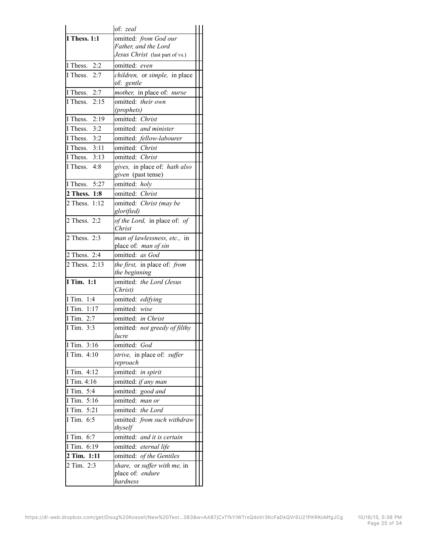|                              | of: zeal                                   |  |
|------------------------------|--------------------------------------------|--|
| <b>I Thess. 1:1</b>          | omitted: from God our                      |  |
|                              | Father, and the Lord                       |  |
|                              | Jesus Christ (last part of vs.)            |  |
| 2:2<br>I Thess.              | omitted: even                              |  |
| I Thess.<br>2:7              | children, or simple, in place              |  |
|                              | of: gentle                                 |  |
| I Thess. 2:7                 | <i>mother</i> , in place of: <i>nurse</i>  |  |
| I Thess. $2:15$              | omitted: their own                         |  |
|                              | (prophets)                                 |  |
| I Thess. 2:19                | omitted: Christ                            |  |
| $\overline{I}$ Thess.<br>3:2 | omitted: and minister                      |  |
| 3:2<br>I Thess.              | omitted: fellow-labourer                   |  |
| I Thess. 3:11                | omitted: Christ                            |  |
| I Thess. $3:13$              | omitted: Christ                            |  |
| I Thess. $4:8$               | gives, in place of: hath also              |  |
|                              | given (past tense)                         |  |
| I Thess.<br>5:27             | omitted: holy                              |  |
| 2 Thess. 1:8                 | omitted: Christ                            |  |
| 2 Thess. 1:12                | omitted: Christ (may be<br>glorified)      |  |
| 2 Thess. 2:2                 | of the Lord, in place of: of               |  |
|                              | Christ                                     |  |
| 2 Thess. 2:3                 | man of lawlessness, etc., in               |  |
|                              | place of: man of sin                       |  |
| 2 Thess. 2:4                 | omitted: as God                            |  |
| 2 Thess. 2:13                | the first, in place of: from               |  |
|                              | the beginning                              |  |
| I Tim. $1:1$                 | omitted: the Lord (Jesus<br>Christ)        |  |
| I Tim. 1:4                   | omitted: edifying                          |  |
| I Tim. 1:17                  | omitted: wise                              |  |
| I Tim. 2:7                   | omitted: in Christ                         |  |
| I Tim. 3:3                   | omitted: not greedy of filthy<br>lucre     |  |
| I Tim. 3:16                  | omitted: God                               |  |
| I Tim. 4:10                  | <i>strive</i> , in place of: <i>suffer</i> |  |
|                              | reproach                                   |  |
| I Tim. 4:12                  | omitted: in spirit                         |  |
| I Tim. 4:16                  | omitted: if any man                        |  |
| I Tim. 5:4                   | omitted: good and                          |  |
| I Tim. 5:16                  | omitted: man or                            |  |
| I Tim. 5:21                  | omitted: the Lord                          |  |
| I Tim. 6:5                   | omitted: from such withdraw                |  |
|                              | thyself                                    |  |
| I Tim. 6:7                   | omitted: and it is certain                 |  |
| I Tim. 6:19                  | omitted: eternal life                      |  |
| 2 Tim. 1:11                  | omitted: of the Gentiles                   |  |
| 2 Tim. 2:3                   | share, or suffer with me, in               |  |
|                              | place of: endure                           |  |
|                              | hardness                                   |  |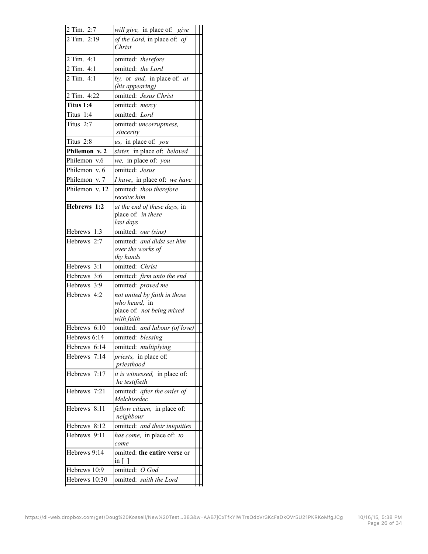| 2 Tim. 2:7     | will give, in place of: give                                    |  |
|----------------|-----------------------------------------------------------------|--|
| 2 Tim. 2:19    | of the Lord, in place of: of<br>Christ                          |  |
| 2 Tim. 4:1     | omitted: therefore                                              |  |
| 2 Tim. 4:1     | omitted: the Lord                                               |  |
| 2 Tim. 4:1     | by, or and, in place of: at<br>(his appearing)                  |  |
| 2 Tim. 4:22    | omitted: Jesus Christ                                           |  |
| Titus 1:4      | omitted: mercy                                                  |  |
| Titus 1:4      | omitted: Lord                                                   |  |
| Titus $2:7$    | omitted: uncorruptness,<br>sincerity                            |  |
| Titus 2:8      | us, in place of: you                                            |  |
| Philemon v. 2  | sister, in place of: beloved                                    |  |
| Philemon v.6   | we, in place of: you                                            |  |
| Philemon v. 6  | omitted: Jesus                                                  |  |
| Philemon v. 7  | I have, in place of: we have                                    |  |
| Philemon v. 12 | omitted: thou therefore<br>receive him                          |  |
| Hebrews 1:2    | at the end of these days, in<br>place of: in these<br>last days |  |
| Hebrews 1:3    | omitted: our (sins)                                             |  |
| Hebrews 2:7    | omitted: and didst set him<br>over the works of<br>thy hands    |  |
| Hebrews 3:1    | omitted: Christ                                                 |  |
| Hebrews 3:6    | omitted: firm unto the end                                      |  |
| Hebrews 3:9    | omitted: proved me                                              |  |
| Hebrews 4:2    | not united by faith in those                                    |  |
|                | who heard, in<br>place of: not being mixed<br>with faith        |  |
| Hebrews 6:10   | omitted: and labour (of love)                                   |  |
| Hebrews 6:14   | omitted: blessing                                               |  |
| Hebrews 6:14   | omitted: multiplying                                            |  |
| Hebrews 7:14   | <i>priests</i> , in place of:<br>priesthood                     |  |
| Hebrews 7:17   | it is witnessed, in place of:<br>he testifieth                  |  |
| Hebrews 7:21   | omitted: after the order of<br>Melchisedec                      |  |
| Hebrews 8:11   | fellow citizen, in place of:<br>neighbour                       |  |
| Hebrews 8:12   | omitted: and their iniquities                                   |  |
| Hebrews 9:11   | has come, in place of: to<br>come                               |  |
| Hebrews 9:14   | omitted: the entire verse or<br>$\ln  $                         |  |
| Hebrews 10:9   | omitted: O God                                                  |  |
|                |                                                                 |  |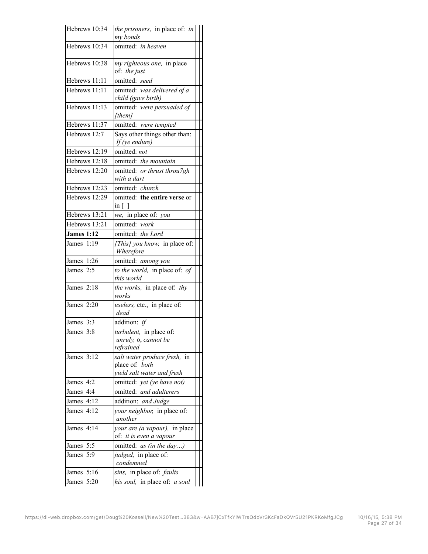| Hebrews 10:34     | the prisoners, in place of: in<br>my bonds                                   |  |
|-------------------|------------------------------------------------------------------------------|--|
| Hebrews 10:34     | omitted: in heaven                                                           |  |
| Hebrews 10:38     | my righteous one, in place<br>of. the just                                   |  |
| Hebrews 11:11     | omitted: seed                                                                |  |
| Hebrews 11:11     | omitted: was delivered of a<br>child (gave birth)                            |  |
| Hebrews 11:13     | omitted: were persuaded of<br>[them]                                         |  |
| Hebrews 11:37     | omitted: were tempted                                                        |  |
| Hebrews 12:7      | Says other things other than:<br>If (ye endure)                              |  |
| Hebrews 12:19     | omitted: not                                                                 |  |
| Hebrews 12:18     | omitted: the mountain                                                        |  |
| Hebrews 12:20     | omitted: or thrust throu7gh                                                  |  |
|                   | with a dart                                                                  |  |
| Hebrews 12:23     | omitted: church                                                              |  |
| Hebrews 12:29     | omitted: the entire verse or<br>$\inf$                                       |  |
| Hebrews 13:21     | we, in place of: you                                                         |  |
| Hebrews 13:21     | omitted: work                                                                |  |
| <b>James 1:12</b> | omitted: the Lord                                                            |  |
| James 1:19        | [This] you know, in place of:<br>Wherefore                                   |  |
| James 1:26        | omitted: among you                                                           |  |
| James 2:5         | to the world, in place of: of<br>this world                                  |  |
| James 2:18        | the works, in place of: thy<br>works                                         |  |
| James $2:20$      | useless, etc., in place of:<br>dead                                          |  |
| James 3:3         | addition: if                                                                 |  |
| James 3:8         | turbulent, in place of:<br>unruly, o, cannot be<br>refrained                 |  |
| James 3:12        | salt water produce fresh, in<br>place of: both<br>yield salt water and fresh |  |
| James 4:2         | omitted: yet (ye have not)                                                   |  |
| James 4:4         | omitted: and adulterers                                                      |  |
| James 4:12        | addition: and Judge                                                          |  |
| James 4:12        | your neighbor, in place of:<br>another                                       |  |
| James 4:14        | your are (a vapour), in place<br>of: it is even a vapour                     |  |
| James 5:5         | omitted: <i>as (in the day)</i>                                              |  |
| James 5:9         | judged, in place of:<br>condemned                                            |  |
| James 5:16        | sins, in place of: faults                                                    |  |
| James 5:20        | his soul, in place of: a soul                                                |  |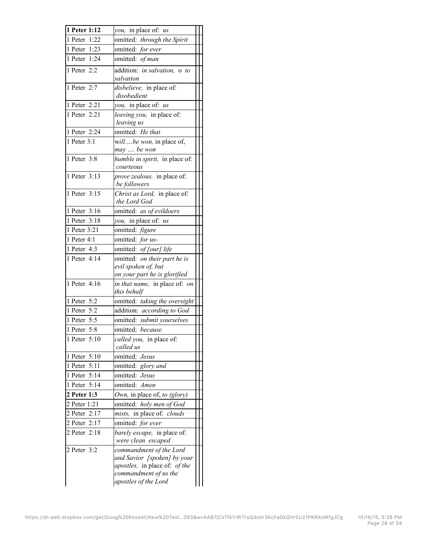| 1 Peter 1:12   | you, in place of: us                                                                                                                                    |  |
|----------------|---------------------------------------------------------------------------------------------------------------------------------------------------------|--|
| 1 Peter 1:22   | omitted: through the Spirit                                                                                                                             |  |
| 1 Peter 1:23   | omitted: for ever                                                                                                                                       |  |
| 1 Peter 1:24   | omitted: of man                                                                                                                                         |  |
| 1 Peter 2:2    | addition: in salvation, o to<br>salvation                                                                                                               |  |
| 1 Peter 2:7    | disbelieve, in place of:<br>disobedient                                                                                                                 |  |
| 1 Peter 2:21   | you, in place of: us                                                                                                                                    |  |
| 1 Peter 2:21   | leaving you, in place of:<br>leaving us                                                                                                                 |  |
| 1 Peter 2:24   | omitted: He that                                                                                                                                        |  |
| 1 Peter 3:1    | willbe won, in place of,<br>may  be won                                                                                                                 |  |
| 1 Peter 3:8    | humble in spirit, in place $\overline{of:}$<br>courteous                                                                                                |  |
| 1 Peter 3:13   | prove zealous, in place of:<br>be followers                                                                                                             |  |
| 1 Peter 3:15   | Christ as Lord, in place of:<br>the Lord God                                                                                                            |  |
| 1 Peter 3:16   | omitted: as of evildoers                                                                                                                                |  |
| 1 Peter $3:18$ | you, in place of: us                                                                                                                                    |  |
| 1 Peter 3:21   | omitted: figure                                                                                                                                         |  |
| 1 Peter 4:1    | omitted: for us-                                                                                                                                        |  |
| 1 Peter 4:3    | omitted: of [our] life                                                                                                                                  |  |
| 1 Peter 4:14   | omitted: on their part he is<br>evil spoken of, but                                                                                                     |  |
| 1 Peter 4:16   | on your part he is glorified<br>in that name, in place of: on<br>this behalf                                                                            |  |
| 1 Peter 5:2    | omitted: taking the oversight                                                                                                                           |  |
| 1 Peter 5:2    | addition: according to God                                                                                                                              |  |
| 1 Peter 5:5    | omitted: submit yourselves                                                                                                                              |  |
| 1 Peter 5:8    | omitted: because                                                                                                                                        |  |
| $1$ Peter 5:10 | called you, in place of:<br>called us                                                                                                                   |  |
| 1 Peter 5:10   | omitted: Jesus                                                                                                                                          |  |
| 1 Peter 5:11   | omitted: glory and                                                                                                                                      |  |
| 1 Peter 5:14   | omitted: Jesus                                                                                                                                          |  |
| 1 Peter 5:14   | omitted: Amen                                                                                                                                           |  |
| 2 Peter 1:3    | Own, in place of, to (glory)                                                                                                                            |  |
| 2 Peter 1:21   | omitted: holy men of God                                                                                                                                |  |
| 2 Peter 2:17   | mists, in place of: clouds                                                                                                                              |  |
| 2 Peter 2:17   | omitted: for ever                                                                                                                                       |  |
| 2 Peter 2:18   | barely escape, in place of:<br>were clean escaped                                                                                                       |  |
| 2 Peter 3:2    | commandment of the Lord<br>and Savior [spoken] by your<br><i>apostles</i> , in place of: <i>of the</i><br>commandment of us the<br>apostles of the Lord |  |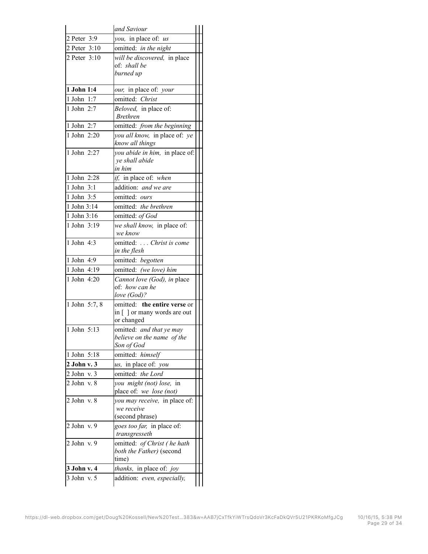|                          | and Saviour                                         |  |
|--------------------------|-----------------------------------------------------|--|
| 2 Peter 3:9              | you, in place of: us                                |  |
| 2 Peter 3:10             | omitted: in the night                               |  |
| 2 Peter 3:10             | will be discovered, in place                        |  |
|                          | of: shall be                                        |  |
|                          | burned up                                           |  |
| 1 John 1:4               | our, in place of: your                              |  |
| 1 John 1:7               | omitted: Christ                                     |  |
| 1 John 2:7               | Beloved, in place of:<br><b>Brethren</b>            |  |
| 1 John 2:7               | omitted: from the beginning                         |  |
| 1 John 2:20              | you all know, in place of: ye                       |  |
|                          | know all things                                     |  |
| 1 John 2:27              | you abide in him, in place of:                      |  |
|                          | ye shall abide                                      |  |
| 1 John 2:28              | in him                                              |  |
|                          | if, in place of: when                               |  |
| 1 John 3:1<br>1 John 3:5 | addition: and we are<br>omitted: ours               |  |
| 1 John 3:14              |                                                     |  |
| 1 John $3:16$            | omitted: the brethren                               |  |
| 1 John 3:19              | omitted: of God                                     |  |
|                          | we shall know, in place of:<br>we know              |  |
| 1 John 4:3               | omitted:  Christ is come                            |  |
|                          | in the flesh                                        |  |
| 1 John 4:9               | omitted: begotten                                   |  |
| 1 John 4:19              | omitted: (we love) him                              |  |
| 1 John 4:20              | Cannot love (God), in place                         |  |
|                          | of: how can he<br>love (God)?                       |  |
| 1 John 5:7, 8            | omitted: the entire verse or                        |  |
|                          | in [] or many words are out                         |  |
|                          | or changed                                          |  |
| 1 John 5:13              | omitted: and that ye may                            |  |
|                          | believe on the name of the                          |  |
|                          | Son of God                                          |  |
| 1 John 5:18              | omitted: himself                                    |  |
| 2 John v. 3              | us, in place of: you                                |  |
| 2 John v. 3              | omitted: the Lord                                   |  |
| $2$ John v. $8$          | you might (not) lose, in<br>place of: we lose (not) |  |
| 2 John v. 8              | you may receive, in place of:                       |  |
|                          | we receive                                          |  |
|                          | (second phrase)                                     |  |
| $2$ John v. $9$          | goes too far, in place of:<br>transgresseth         |  |
| 2 John v. 9              | omitted: of Christ (he hath                         |  |
|                          | both the Father) (second                            |  |
|                          | time)                                               |  |
| 3 John v. 4              | thanks, in place of: joy                            |  |
| 3 John v. 5              | addition: even, especially,                         |  |
|                          |                                                     |  |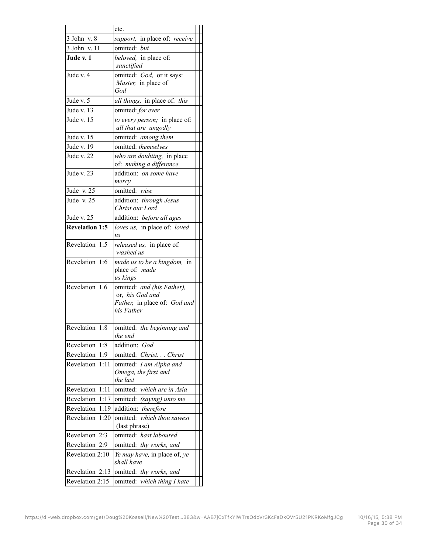|                       | etc.                                       |  |
|-----------------------|--------------------------------------------|--|
| 3 John v. 8           | support, in place of: receive              |  |
| 3 John v. 11          | omitted: but                               |  |
| Jude v. 1             | beloved, in place of:                      |  |
|                       | sanctified                                 |  |
| Jude v. 4             | omitted: God, or it says:                  |  |
|                       | Master, in place of                        |  |
|                       | God                                        |  |
| Jude v. 5             | all things, in place of: this              |  |
| Jude v. 13            | omitted: for ever                          |  |
| Jude v. 15            | to every person; in place of:              |  |
|                       | all that are ungodly                       |  |
| Jude v. 15            | omitted: among them                        |  |
| Jude v. 19            | omitted: themselves                        |  |
| Jude v. 22            | who are doubting, in place                 |  |
|                       | of: making a difference                    |  |
| Jude v. 23            | addition: on some have                     |  |
|                       | mercy                                      |  |
| Jude v. 25            | omitted: wise                              |  |
| Jude v. 25            | addition: through Jesus                    |  |
|                       | Christ our Lord                            |  |
| Jude v. 25            | addition: before all ages                  |  |
| <b>Revelation 1:5</b> | loves us, in place of: loved               |  |
|                       | $\overline{\mu}S$                          |  |
| Revelation 1:5        | released us, in place of:                  |  |
|                       | washed us                                  |  |
| Revelation 1:6        | made us to be a kingdom,<br>in             |  |
|                       | place of: made                             |  |
|                       | us kings                                   |  |
| Revelation 1.6        | omitted: and (his Father),                 |  |
|                       | or, his God and                            |  |
|                       | Father, in place of: God and<br>his Father |  |
|                       |                                            |  |
| Revelation 1:8        | omitted: the beginning and                 |  |
|                       | the end                                    |  |
| Revelation<br>1:8     | addition: God                              |  |
| Revelation<br>1:9     | omitted: Christ Christ                     |  |
| Revelation<br>1:11    | omitted: I am Alpha and                    |  |
|                       | Omega, the first and                       |  |
|                       | the last                                   |  |
| Revelation<br>1:11    | omitted: which are in Asia                 |  |
| Revelation<br>1:17    | omitted: (saying) unto me                  |  |
| Revelation<br>1:19    | addition: therefore                        |  |
| Revelation<br>1:20    | omitted:<br>which thou sawest              |  |
|                       | (last phrase)                              |  |
| Revelation 2:3        | omitted: hast laboured                     |  |
| Revelation<br>2:9     | omitted: thy works, and                    |  |
| Revelation 2:10       | Ye may have, in place of, ye               |  |
|                       | shall have                                 |  |
| Revelation 2:13       | omitted: thy works, and                    |  |
| Revelation 2:15       | omitted:<br>which thing I hate             |  |
|                       |                                            |  |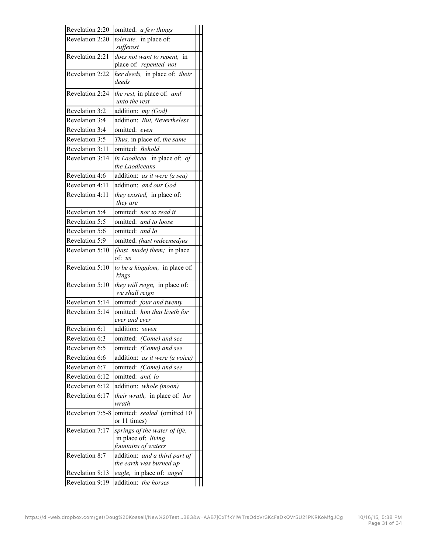| Revelation 2:20  | omitted: a few things                       |  |
|------------------|---------------------------------------------|--|
| Revelation 2:20  | tolerate, in place of:                      |  |
|                  | sufferest                                   |  |
| Revelation 2:21  | does not want to repent, in                 |  |
|                  | place of: repented not                      |  |
| Revelation 2:22  | her deeds, in place of: their               |  |
|                  | deeds                                       |  |
| Revelation 2:24  | the rest, in place of: and                  |  |
|                  | unto the rest                               |  |
| Revelation 3:2   | addition: my (God)                          |  |
| Revelation 3:4   | addition: But, Nevertheless                 |  |
| Revelation 3:4   | omitted: even                               |  |
| Revelation 3:5   | Thus, in place of, the same                 |  |
| Revelation 3:11  | omitted: Behold                             |  |
| Revelation 3:14  | in Laodicea, in place of: of                |  |
|                  | the Laodiceans                              |  |
| Revelation 4:6   | addition: as it were (a sea)                |  |
| Revelation 4:11  | addition: and our God                       |  |
| Revelation 4:11  | $\overline{they}$ existed, in place of:     |  |
|                  | they are                                    |  |
| Revelation 5:4   | omitted: nor to read it                     |  |
| Revelation 5:5   | omitted: and to loose                       |  |
| Revelation 5:6   | omitted: and lo                             |  |
| Revelation 5:9   | omitted: (hast redeemed)us                  |  |
| Revelation 5:10  | (hast made) them; in place                  |  |
|                  | of: us                                      |  |
| Revelation 5:10  | to be a kingdom, in place of:<br>kings      |  |
| Revelation 5:10  | they will reign, in place of:               |  |
|                  | we shall reign                              |  |
| Revelation 5:14  | omitted: four and twenty                    |  |
| Revelation 5:14  | omitted: him that liveth for                |  |
|                  | ever and ever                               |  |
| Revelation 6:1   | addition: seven                             |  |
| Revelation 6.3   | omitted: (Come) and see                     |  |
| Revelation 6:5   | omitted: (Come) and see                     |  |
| Revelation 6:6   | addition: as it were (a voice)              |  |
| Revelation 6:7   | omitted: (Come) and see                     |  |
| Revelation 6:12  | omitted: and, lo                            |  |
| Revelation 6:12  | addition: whole (moon)                      |  |
| Revelation 6:17  | their wrath, in place of: his               |  |
|                  | wrath                                       |  |
| Revelation 7:5-8 | omitted: sealed (omitted 10<br>or 11 times) |  |
| Revelation 7:17  | springs of the water of life,               |  |
|                  | in place of: living                         |  |
|                  | fountains of waters                         |  |
| Revelation 8:7   | addition: and a third part of               |  |
|                  | the earth was burned up                     |  |
| Revelation 8:13  | eagle, in place of: angel                   |  |
| Revelation 9:19  | addition: the horses                        |  |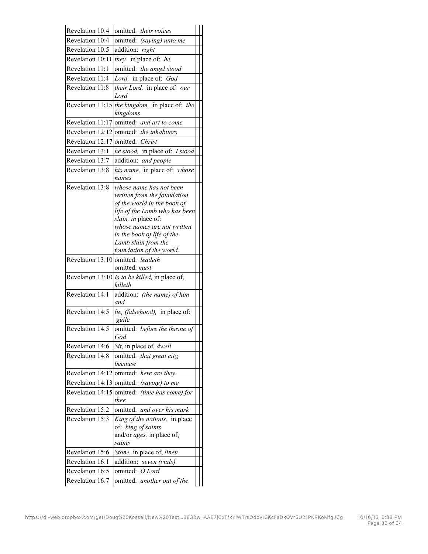| Revelation 10:4                    |                                                           |  |
|------------------------------------|-----------------------------------------------------------|--|
|                                    | omitted: their voices                                     |  |
| Revelation 10:4                    | omitted: (saying) unto me                                 |  |
| Revelation 10:5                    | addition: right                                           |  |
| Revelation 10:11                   | they, in place of: he                                     |  |
| Revelation 11:1                    | omitted: the angel stood                                  |  |
| Revelation 11:4                    | Lord, in place of: God                                    |  |
| Revelation 11:8                    | their Lord, in place of: our                              |  |
|                                    | Lord                                                      |  |
| Revelation 11:15                   | the kingdom, in place of: the<br>kingdoms                 |  |
| Revelation 11:17                   | omitted: and art to come                                  |  |
|                                    | Revelation 12:12 omitted: the inhabiters                  |  |
| Revelation 12:17                   | omitted: Christ                                           |  |
| Revelation 13:1                    | he stood, in place of: I stood                            |  |
| Revelation 13:7                    | addition: and people                                      |  |
| Revelation 13:8                    | his name, in place of: whose                              |  |
|                                    | names                                                     |  |
| Revelation 13:8                    | whose name has not been                                   |  |
|                                    | written from the foundation                               |  |
|                                    | of the world in the book of                               |  |
|                                    | life of the Lamb who has been                             |  |
|                                    | slain, in place of:<br>whose names are not written        |  |
|                                    | in the book of life of the                                |  |
|                                    | Lamb slain from the                                       |  |
|                                    | foundation of the world.                                  |  |
| Revelation 13:10                   | omitted: leadeth                                          |  |
|                                    |                                                           |  |
|                                    | omitted: must                                             |  |
|                                    | Revelation 13.10 Is to be killed, in place of,<br>killeth |  |
| Revelation 14:1                    | addition: (the name) of him                               |  |
|                                    | and                                                       |  |
| Revelation 14:5                    | lie, (falsehood), in place of:<br>guile                   |  |
| Revelation 14:5                    | omitted: before the throne of<br>God                      |  |
| Revelation 14:6                    | Sit, in place of, dwell                                   |  |
| Revelation 14:8                    | omitted: that great city,                                 |  |
|                                    | because                                                   |  |
| Revelation 14:12                   | omitted: here are they                                    |  |
|                                    | Revelation 14:13 omitted: (saying) to me                  |  |
|                                    | Revelation 14:15 omitted: (time has come) for<br>thee     |  |
| Revelation 15:2                    | omitted: and over his mark                                |  |
| Revelation 15:3                    | King of the nations, in place                             |  |
|                                    | of: king of saints                                        |  |
|                                    | and/or <i>ages</i> , in place of,                         |  |
|                                    | saints                                                    |  |
| Revelation 15:6                    | Stone, in place of, linen                                 |  |
| Revelation 16:1                    | addition: seven (vials)                                   |  |
| Revelation 16:5<br>Revelation 16:7 | omitted: O Lord<br>omitted: another out of the            |  |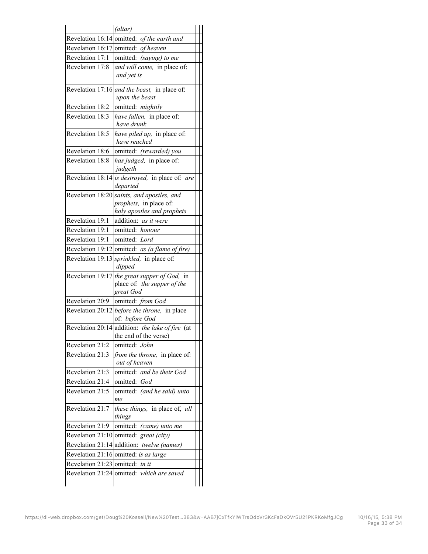|                                 | (altar)                                                                                            |  |
|---------------------------------|----------------------------------------------------------------------------------------------------|--|
|                                 | Revelation 16:14 omitted: of the earth and                                                         |  |
|                                 | Revelation 16:17 omitted: of heaven                                                                |  |
| Revelation 17:1                 | omitted: (saying) to me                                                                            |  |
| Revelation 17:8                 | and will come, in place of.<br>and yet is                                                          |  |
|                                 | Revelation 17:16 and the beast, in place of:<br>upon the beast                                     |  |
| Revelation 18:2                 | omitted: mightily                                                                                  |  |
| Revelation 18:3                 | have fallen, in place of:<br>have drunk                                                            |  |
| Revelation 18:5                 | have piled up, in place of:<br>have reached                                                        |  |
| Revelation 18:6                 | omitted: (rewarded) you                                                                            |  |
| Revelation 18:8                 | has judged, in place of:<br>judgeth                                                                |  |
|                                 | Revelation 18:14 is destroyed, in place of: are<br>departed                                        |  |
|                                 | Revelation 18:20 saints, and apostles, and<br>prophets, in place of:<br>holy apostles and prophets |  |
| Revelation 19:1                 | addition: as it were                                                                               |  |
| Revelation 19:1                 | omitted: honour                                                                                    |  |
| Revelation 19:1                 | omitted: Lord                                                                                      |  |
|                                 | Revelation 19:12 omitted: as (a flame of fire)                                                     |  |
|                                 | Revelation 19:13 <i>sprinkled</i> , in place of:<br>dipped                                         |  |
|                                 | Revelation 19:17 the great supper of God, in<br>place of: the supper of the<br>great God           |  |
| Revelation 20:9                 | omitted: from God                                                                                  |  |
|                                 | Revelation 20.12 before the throne, in place<br>of: before God                                     |  |
|                                 | Revelation 20:14 addition: the lake of fire (at<br>the end of the verse)                           |  |
| Revelation 21:2                 | omitted: John                                                                                      |  |
| Revelation 21:3                 | from the throne, in place of:<br>out of heaven                                                     |  |
| Revelation 21:3                 | omitted: and be their God                                                                          |  |
| Revelation 21:4                 | omitted:<br>God                                                                                    |  |
| Revelation 21:5                 | omitted: (and he said) unto<br>me                                                                  |  |
| Revelation 21:7                 | these things, in place of, all<br>things                                                           |  |
| Revelation 21:9                 | omitted: (came) unto me                                                                            |  |
|                                 | Revelation 21:10 omitted: great (city)                                                             |  |
|                                 | Revelation 21:14 addition: twelve (names)                                                          |  |
|                                 | Revelation 21:16 omitted: is as large                                                              |  |
|                                 |                                                                                                    |  |
| Revelation 21:23 omitted: in it |                                                                                                    |  |